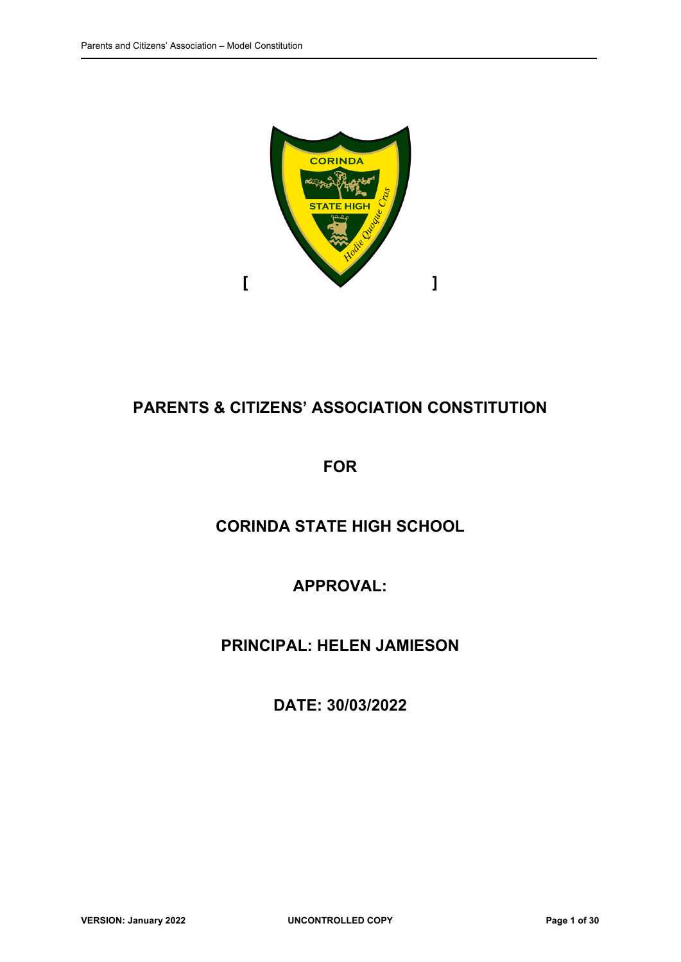

# **PARENTS & CITIZENS' ASSOCIATION CONSTITUTION**

# **FOR**

# **CORINDA STATE HIGH SCHOOL**

# **APPROVAL:**

# **PRINCIPAL: HELEN JAMIESON**

# **DATE: 30/03/2022**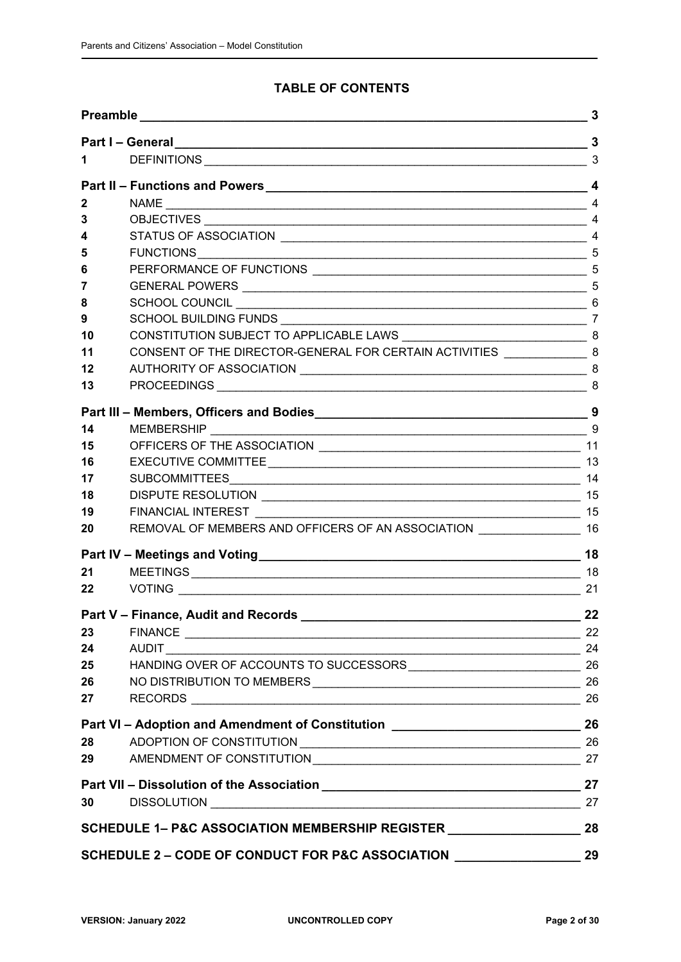## **TABLE OF CONTENTS**

| $\sim$ 3<br>1.<br>Part II – Functions and Powers 1994 and 200 million and 200 million and 200 million and 200 million and 200 million and 200 million and 200 million and 200 million and 200 million and 200 million and 200 million and 200 mi<br>2<br>3<br>4 |  |  |  |  |  |
|-----------------------------------------------------------------------------------------------------------------------------------------------------------------------------------------------------------------------------------------------------------------|--|--|--|--|--|
|                                                                                                                                                                                                                                                                 |  |  |  |  |  |
|                                                                                                                                                                                                                                                                 |  |  |  |  |  |
|                                                                                                                                                                                                                                                                 |  |  |  |  |  |
|                                                                                                                                                                                                                                                                 |  |  |  |  |  |
|                                                                                                                                                                                                                                                                 |  |  |  |  |  |
|                                                                                                                                                                                                                                                                 |  |  |  |  |  |
| 5                                                                                                                                                                                                                                                               |  |  |  |  |  |
| 6                                                                                                                                                                                                                                                               |  |  |  |  |  |
| 5<br>7                                                                                                                                                                                                                                                          |  |  |  |  |  |
| 8                                                                                                                                                                                                                                                               |  |  |  |  |  |
| 9                                                                                                                                                                                                                                                               |  |  |  |  |  |
| 10                                                                                                                                                                                                                                                              |  |  |  |  |  |
| CONSENT OF THE DIRECTOR-GENERAL FOR CERTAIN ACTIVITIES __________________________ 8<br>11                                                                                                                                                                       |  |  |  |  |  |
| 12                                                                                                                                                                                                                                                              |  |  |  |  |  |
| 13                                                                                                                                                                                                                                                              |  |  |  |  |  |
| Part III - Members, Officers and Bodies 30 and 200 million 30 and 30 million 30 million 30 million 30 million                                                                                                                                                   |  |  |  |  |  |
| 14                                                                                                                                                                                                                                                              |  |  |  |  |  |
| 15                                                                                                                                                                                                                                                              |  |  |  |  |  |
| 16                                                                                                                                                                                                                                                              |  |  |  |  |  |
| 14<br>17                                                                                                                                                                                                                                                        |  |  |  |  |  |
| 18                                                                                                                                                                                                                                                              |  |  |  |  |  |
| 19                                                                                                                                                                                                                                                              |  |  |  |  |  |
| REMOVAL OF MEMBERS AND OFFICERS OF AN ASSOCIATION _______________________ 16<br>20                                                                                                                                                                              |  |  |  |  |  |
|                                                                                                                                                                                                                                                                 |  |  |  |  |  |
| 21                                                                                                                                                                                                                                                              |  |  |  |  |  |
| $22 \,$<br>21                                                                                                                                                                                                                                                   |  |  |  |  |  |
| Part V - Finance, Audit and Records<br>22                                                                                                                                                                                                                       |  |  |  |  |  |
| 23                                                                                                                                                                                                                                                              |  |  |  |  |  |
| 24<br>24                                                                                                                                                                                                                                                        |  |  |  |  |  |
| 25                                                                                                                                                                                                                                                              |  |  |  |  |  |
| 26                                                                                                                                                                                                                                                              |  |  |  |  |  |
| 27                                                                                                                                                                                                                                                              |  |  |  |  |  |
| Part VI - Adoption and Amendment of Constitution ________________________________ 26                                                                                                                                                                            |  |  |  |  |  |
| 28                                                                                                                                                                                                                                                              |  |  |  |  |  |
| 29                                                                                                                                                                                                                                                              |  |  |  |  |  |
|                                                                                                                                                                                                                                                                 |  |  |  |  |  |
| DISSOLUTION 27<br>30                                                                                                                                                                                                                                            |  |  |  |  |  |
| SCHEDULE 1- P&C ASSOCIATION MEMBERSHIP REGISTER ________________________________                                                                                                                                                                                |  |  |  |  |  |
| SCHEDULE 2 - CODE OF CONDUCT FOR P&C ASSOCIATION __________________                                                                                                                                                                                             |  |  |  |  |  |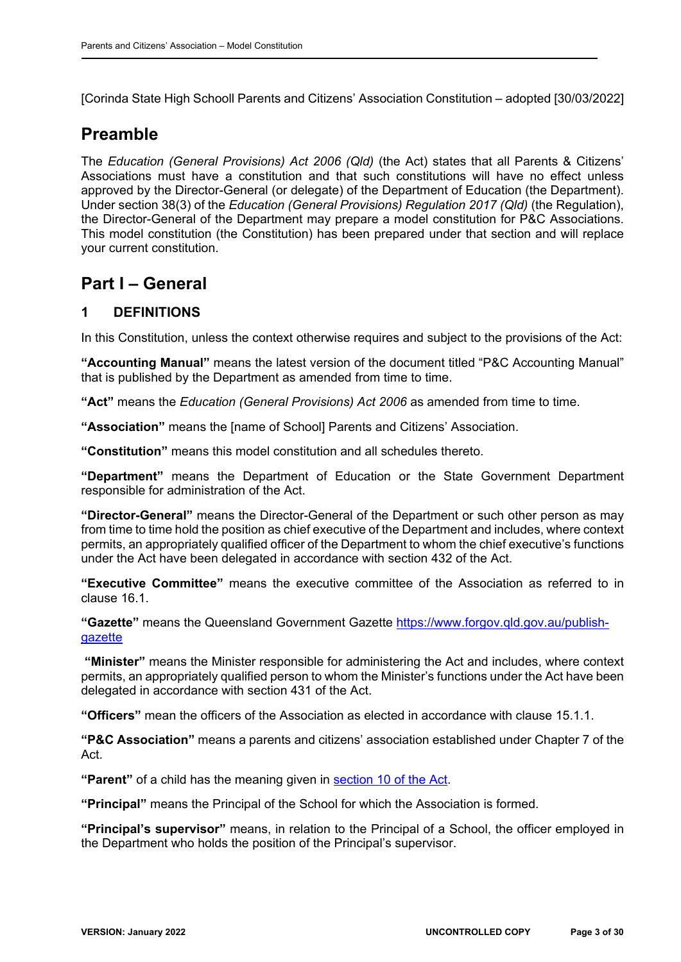[Corinda State High Schooll Parents and Citizens' Association Constitution – adopted [30/03/2022]

# **Preamble**

The *Education (General Provisions) Act 2006 (Qld)* (the Act) states that all Parents & Citizens' Associations must have a constitution and that such constitutions will have no effect unless approved by the Director-General (or delegate) of the Department of Education (the Department). Under section 38(3) of the *Education (General Provisions) Regulation 2017 (Qld)* (the Regulation), the Director-General of the Department may prepare a model constitution for P&C Associations. This model constitution (the Constitution) has been prepared under that section and will replace your current constitution.

# **Part I – General**

## **1 DEFINITIONS**

In this Constitution, unless the context otherwise requires and subject to the provisions of the Act:

**"Accounting Manual"** means the latest version of the document titled "P&C Accounting Manual" that is published by the Department as amended from time to time.

**"Act"** means the *Education (General Provisions) Act 2006* as amended from time to time.

**"Association"** means the [name of School] Parents and Citizens' Association.

**"Constitution"** means this model constitution and all schedules thereto.

**"Department"** means the Department of Education or the State Government Department responsible for administration of the Act.

**"Director-General"** means the Director-General of the Department or such other person as may from time to time hold the position as chief executive of the Department and includes, where context permits, an appropriately qualified officer of the Department to whom the chief executive's functions under the Act have been delegated in accordance with section 432 of the Act.

**"Executive Committee"** means the executive committee of the Association as referred to in clause 16.1.

**"Gazette"** means the Queensland Government Gazette https://www.forgov.qld.gov.au/publishgazette

 **"Minister"** means the Minister responsible for administering the Act and includes, where context permits, an appropriately qualified person to whom the Minister's functions under the Act have been delegated in accordance with section 431 of the Act.

**"Officers"** mean the officers of the Association as elected in accordance with clause 15.1.1.

**"P&C Association"** means a parents and citizens' association established under Chapter 7 of the Act.

**"Parent"** of a child has the meaning given in section 10 of the Act.

**"Principal"** means the Principal of the School for which the Association is formed.

**"Principal's supervisor"** means, in relation to the Principal of a School, the officer employed in the Department who holds the position of the Principal's supervisor.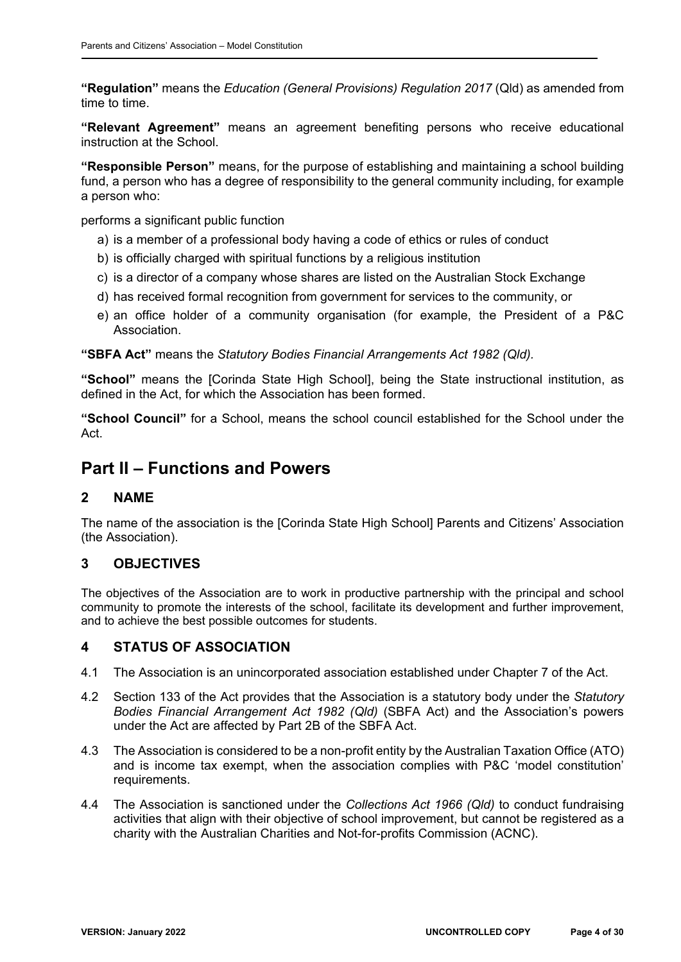**"Regulation"** means the *Education (General Provisions) Regulation 2017* (Qld) as amended from time to time.

**"Relevant Agreement"** means an agreement benefiting persons who receive educational instruction at the School.

**"Responsible Person"** means, for the purpose of establishing and maintaining a school building fund, a person who has a degree of responsibility to the general community including, for example a person who:

performs a significant public function

- a) is a member of a professional body having a code of ethics or rules of conduct
- b) is officially charged with spiritual functions by a religious institution
- c) is a director of a company whose shares are listed on the Australian Stock Exchange
- d) has received formal recognition from government for services to the community, or
- e) an office holder of a community organisation (for example, the President of a P&C Association.

**"SBFA Act"** means the *Statutory Bodies Financial Arrangements Act 1982 (Qld).*

**"School"** means the [Corinda State High School], being the State instructional institution, as defined in the Act, for which the Association has been formed.

**"School Council"** for a School, means the school council established for the School under the Act.

# **Part II – Functions and Powers**

## **2 NAME**

The name of the association is the [Corinda State High School] Parents and Citizens' Association (the Association).

## **3 OBJECTIVES**

The objectives of the Association are to work in productive partnership with the principal and school community to promote the interests of the school, facilitate its development and further improvement, and to achieve the best possible outcomes for students.

## **4 STATUS OF ASSOCIATION**

- 4.1 The Association is an unincorporated association established under Chapter 7 of the Act.
- 4.2 Section 133 of the Act provides that the Association is a statutory body under the *Statutory Bodies Financial Arrangement Act 1982 (Qld)* (SBFA Act) and the Association's powers under the Act are affected by Part 2B of the SBFA Act.
- 4.3 The Association is considered to be a non-profit entity by the Australian Taxation Office (ATO) and is income tax exempt, when the association complies with P&C 'model constitution' requirements.
- 4.4 The Association is sanctioned under the *Collections Act 1966 (Qld)* to conduct fundraising activities that align with their objective of school improvement, but cannot be registered as a charity with the Australian Charities and Not-for-profits Commission (ACNC).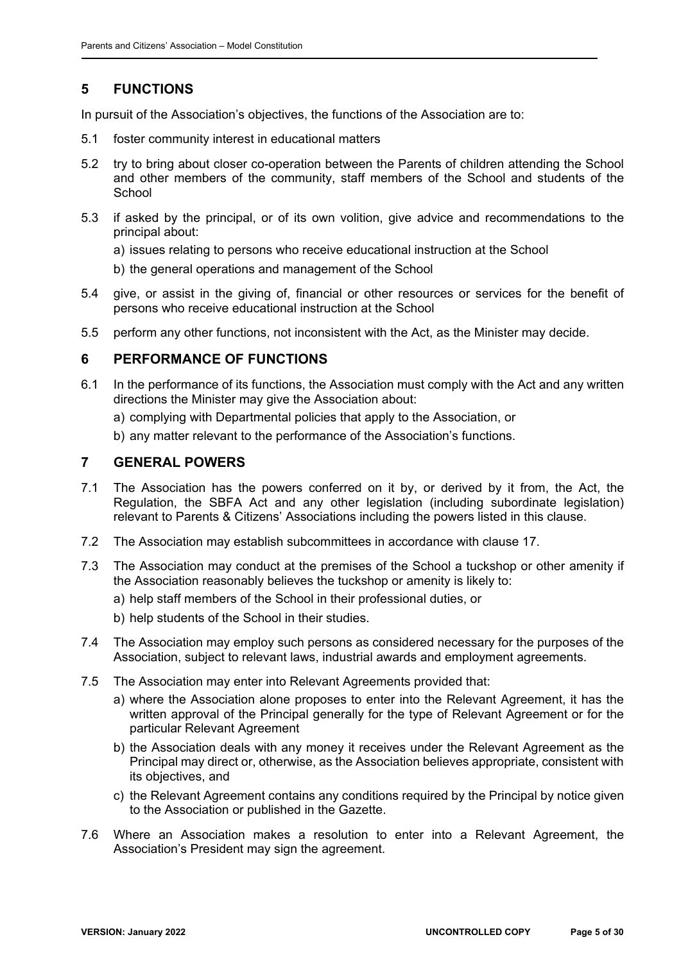# **5 FUNCTIONS**

In pursuit of the Association's objectives, the functions of the Association are to:

- 5.1 foster community interest in educational matters
- 5.2 try to bring about closer co-operation between the Parents of children attending the School and other members of the community, staff members of the School and students of the **School**
- 5.3 if asked by the principal, or of its own volition, give advice and recommendations to the principal about:
	- a) issues relating to persons who receive educational instruction at the School
	- b) the general operations and management of the School
- 5.4 give, or assist in the giving of, financial or other resources or services for the benefit of persons who receive educational instruction at the School
- 5.5 perform any other functions, not inconsistent with the Act, as the Minister may decide.

## **6 PERFORMANCE OF FUNCTIONS**

- 6.1 In the performance of its functions, the Association must comply with the Act and any written directions the Minister may give the Association about:
	- a) complying with Departmental policies that apply to the Association, or
	- b) any matter relevant to the performance of the Association's functions.

## **7 GENERAL POWERS**

- 7.1 The Association has the powers conferred on it by, or derived by it from, the Act, the Regulation, the SBFA Act and any other legislation (including subordinate legislation) relevant to Parents & Citizens' Associations including the powers listed in this clause.
- 7.2 The Association may establish subcommittees in accordance with clause 17.
- 7.3 The Association may conduct at the premises of the School a tuckshop or other amenity if the Association reasonably believes the tuckshop or amenity is likely to:
	- a) help staff members of the School in their professional duties, or
	- b) help students of the School in their studies.
- 7.4 The Association may employ such persons as considered necessary for the purposes of the Association, subject to relevant laws, industrial awards and employment agreements.
- 7.5 The Association may enter into Relevant Agreements provided that:
	- a) where the Association alone proposes to enter into the Relevant Agreement, it has the written approval of the Principal generally for the type of Relevant Agreement or for the particular Relevant Agreement
	- b) the Association deals with any money it receives under the Relevant Agreement as the Principal may direct or, otherwise, as the Association believes appropriate, consistent with its objectives, and
	- c) the Relevant Agreement contains any conditions required by the Principal by notice given to the Association or published in the Gazette.
- 7.6 Where an Association makes a resolution to enter into a Relevant Agreement, the Association's President may sign the agreement.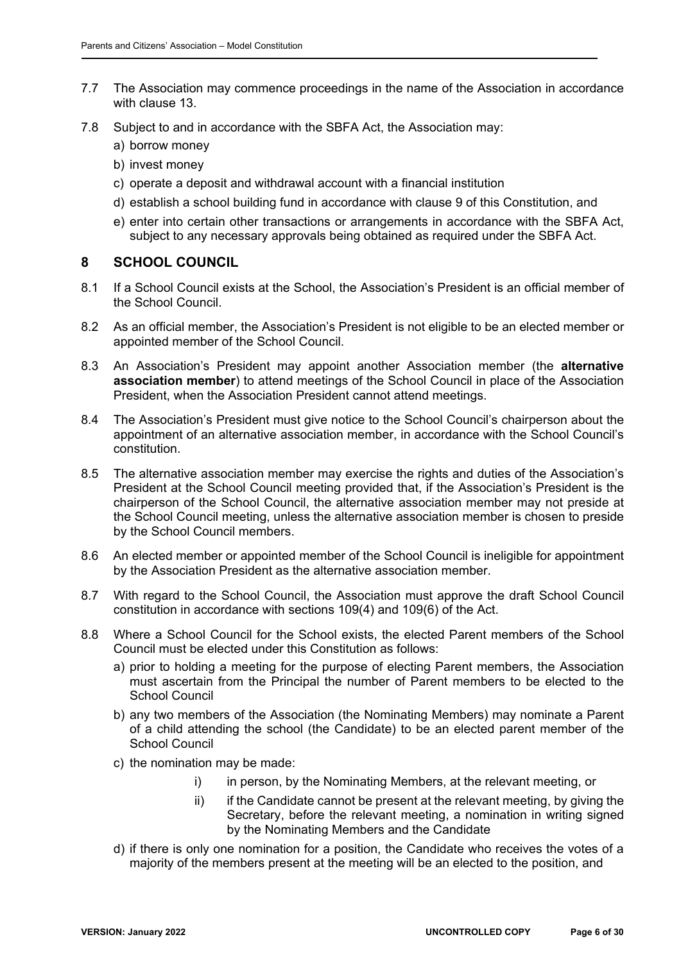- 7.7 The Association may commence proceedings in the name of the Association in accordance with clause 13.
- 7.8 Subject to and in accordance with the SBFA Act, the Association may:
	- a) borrow money
	- b) invest money
	- c) operate a deposit and withdrawal account with a financial institution
	- d) establish a school building fund in accordance with clause 9 of this Constitution, and
	- e) enter into certain other transactions or arrangements in accordance with the SBFA Act, subject to any necessary approvals being obtained as required under the SBFA Act.

## **8 SCHOOL COUNCIL**

- 8.1 If a School Council exists at the School, the Association's President is an official member of the School Council.
- 8.2 As an official member, the Association's President is not eligible to be an elected member or appointed member of the School Council.
- 8.3 An Association's President may appoint another Association member (the **alternative association member**) to attend meetings of the School Council in place of the Association President, when the Association President cannot attend meetings.
- 8.4 The Association's President must give notice to the School Council's chairperson about the appointment of an alternative association member, in accordance with the School Council's constitution.
- 8.5 The alternative association member may exercise the rights and duties of the Association's President at the School Council meeting provided that, if the Association's President is the chairperson of the School Council, the alternative association member may not preside at the School Council meeting, unless the alternative association member is chosen to preside by the School Council members.
- 8.6 An elected member or appointed member of the School Council is ineligible for appointment by the Association President as the alternative association member.
- 8.7 With regard to the School Council, the Association must approve the draft School Council constitution in accordance with sections 109(4) and 109(6) of the Act.
- 8.8 Where a School Council for the School exists, the elected Parent members of the School Council must be elected under this Constitution as follows:
	- a) prior to holding a meeting for the purpose of electing Parent members, the Association must ascertain from the Principal the number of Parent members to be elected to the School Council
	- b) any two members of the Association (the Nominating Members) may nominate a Parent of a child attending the school (the Candidate) to be an elected parent member of the School Council
	- c) the nomination may be made:
		- i) in person, by the Nominating Members, at the relevant meeting, or
		- ii) if the Candidate cannot be present at the relevant meeting, by giving the Secretary, before the relevant meeting, a nomination in writing signed by the Nominating Members and the Candidate
	- d) if there is only one nomination for a position, the Candidate who receives the votes of a majority of the members present at the meeting will be an elected to the position, and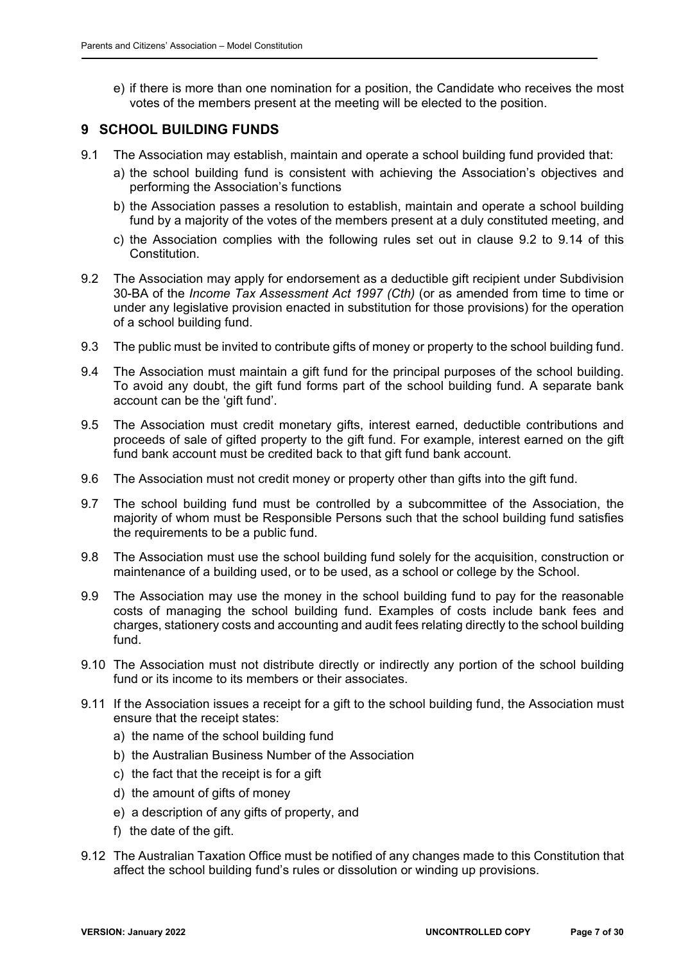e) if there is more than one nomination for a position, the Candidate who receives the most votes of the members present at the meeting will be elected to the position.

## **9 SCHOOL BUILDING FUNDS**

- 9.1 The Association may establish, maintain and operate a school building fund provided that:
	- a) the school building fund is consistent with achieving the Association's objectives and performing the Association's functions
	- b) the Association passes a resolution to establish, maintain and operate a school building fund by a majority of the votes of the members present at a duly constituted meeting, and
	- c) the Association complies with the following rules set out in clause 9.2 to 9.14 of this Constitution.
- 9.2 The Association may apply for endorsement as a deductible gift recipient under Subdivision 30-BA of the *Income Tax Assessment Act 1997 (Cth)* (or as amended from time to time or under any legislative provision enacted in substitution for those provisions) for the operation of a school building fund.
- 9.3 The public must be invited to contribute gifts of money or property to the school building fund.
- 9.4 The Association must maintain a gift fund for the principal purposes of the school building. To avoid any doubt, the gift fund forms part of the school building fund. A separate bank account can be the 'gift fund'.
- 9.5 The Association must credit monetary gifts, interest earned, deductible contributions and proceeds of sale of gifted property to the gift fund. For example, interest earned on the gift fund bank account must be credited back to that gift fund bank account.
- 9.6 The Association must not credit money or property other than gifts into the gift fund.
- 9.7 The school building fund must be controlled by a subcommittee of the Association, the majority of whom must be Responsible Persons such that the school building fund satisfies the requirements to be a public fund.
- 9.8 The Association must use the school building fund solely for the acquisition, construction or maintenance of a building used, or to be used, as a school or college by the School.
- 9.9 The Association may use the money in the school building fund to pay for the reasonable costs of managing the school building fund. Examples of costs include bank fees and charges, stationery costs and accounting and audit fees relating directly to the school building fund.
- 9.10 The Association must not distribute directly or indirectly any portion of the school building fund or its income to its members or their associates.
- 9.11 If the Association issues a receipt for a gift to the school building fund, the Association must ensure that the receipt states:
	- a) the name of the school building fund
	- b) the Australian Business Number of the Association
	- c) the fact that the receipt is for a gift
	- d) the amount of gifts of money
	- e) a description of any gifts of property, and
	- f) the date of the gift.
- 9.12 The Australian Taxation Office must be notified of any changes made to this Constitution that affect the school building fund's rules or dissolution or winding up provisions.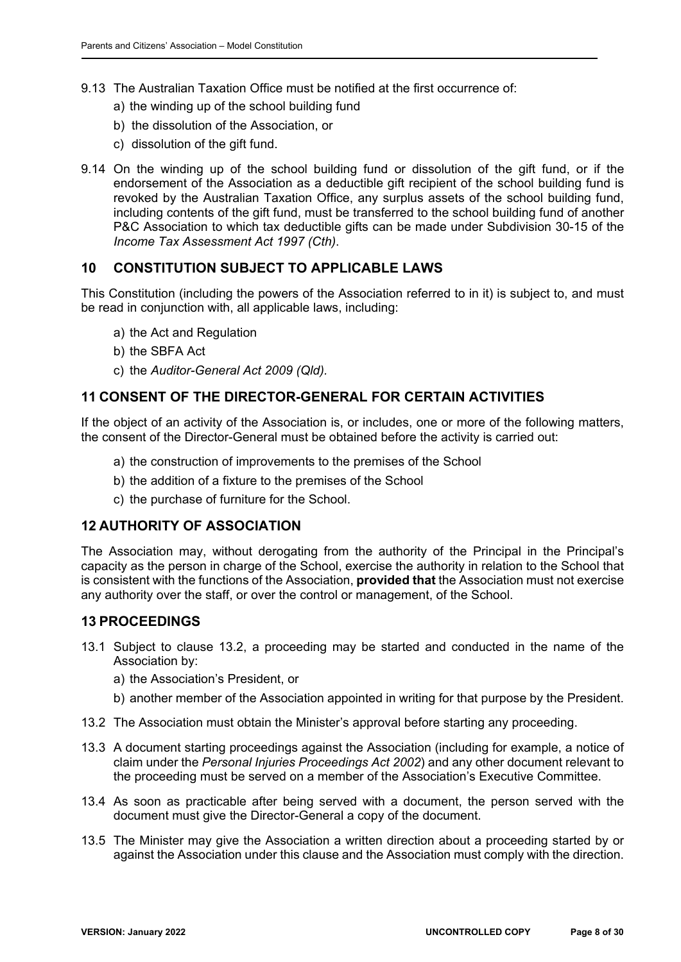- 9.13 The Australian Taxation Office must be notified at the first occurrence of:
	- a) the winding up of the school building fund
	- b) the dissolution of the Association, or
	- c) dissolution of the gift fund.
- 9.14 On the winding up of the school building fund or dissolution of the gift fund, or if the endorsement of the Association as a deductible gift recipient of the school building fund is revoked by the Australian Taxation Office, any surplus assets of the school building fund, including contents of the gift fund, must be transferred to the school building fund of another P&C Association to which tax deductible gifts can be made under Subdivision 30-15 of the *Income Tax Assessment Act 1997 (Cth)*.

## **10 CONSTITUTION SUBJECT TO APPLICABLE LAWS**

This Constitution (including the powers of the Association referred to in it) is subject to, and must be read in conjunction with, all applicable laws, including:

- a) the Act and Regulation
- b) the SBFA Act
- c) the *Auditor-General Act 2009 (Qld).*

## **11 CONSENT OF THE DIRECTOR-GENERAL FOR CERTAIN ACTIVITIES**

If the object of an activity of the Association is, or includes, one or more of the following matters, the consent of the Director-General must be obtained before the activity is carried out:

- a) the construction of improvements to the premises of the School
- b) the addition of a fixture to the premises of the School
- c) the purchase of furniture for the School.

## **12 AUTHORITY OF ASSOCIATION**

The Association may, without derogating from the authority of the Principal in the Principal's capacity as the person in charge of the School, exercise the authority in relation to the School that is consistent with the functions of the Association, **provided that** the Association must not exercise any authority over the staff, or over the control or management, of the School.

## **13 PROCEEDINGS**

- 13.1 Subject to clause 13.2, a proceeding may be started and conducted in the name of the Association by:
	- a) the Association's President, or
	- b) another member of the Association appointed in writing for that purpose by the President.
- 13.2 The Association must obtain the Minister's approval before starting any proceeding.
- 13.3 A document starting proceedings against the Association (including for example, a notice of claim under the *Personal Injuries Proceedings Act 2002*) and any other document relevant to the proceeding must be served on a member of the Association's Executive Committee.
- 13.4 As soon as practicable after being served with a document, the person served with the document must give the Director-General a copy of the document.
- 13.5 The Minister may give the Association a written direction about a proceeding started by or against the Association under this clause and the Association must comply with the direction.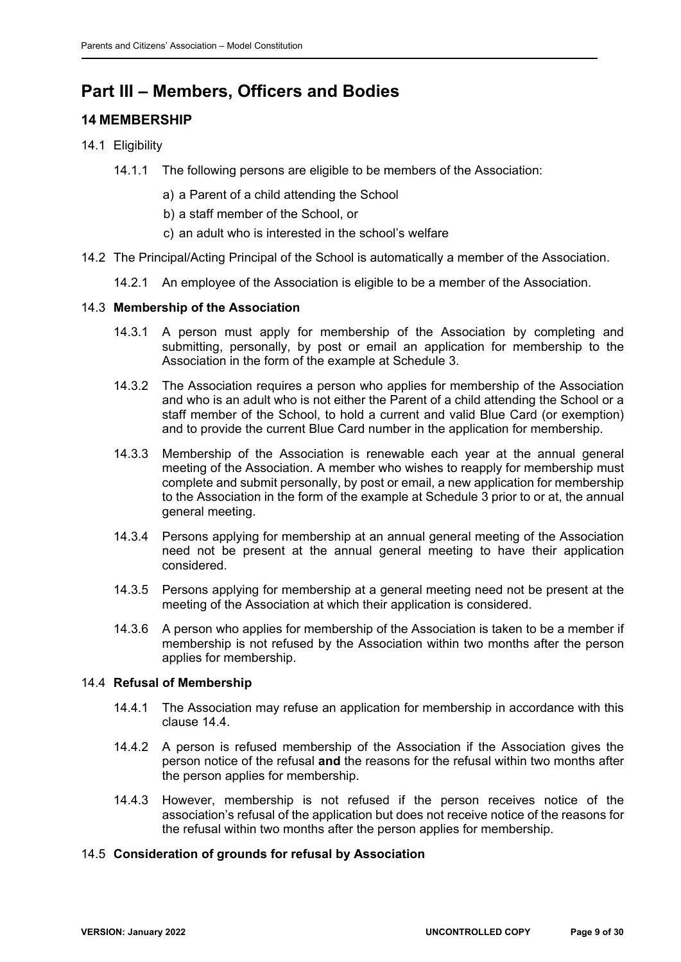# **Part III – Members, Officers and Bodies**

# **14 MEMBERSHIP**

- 14.1 Eligibility
	- 14.1.1 The following persons are eligible to be members of the Association:
		- a) a Parent of a child attending the School
		- b) a staff member of the School, or
		- c) an adult who is interested in the school's welfare
- 14.2 The Principal/Acting Principal of the School is automatically a member of the Association.
	- 14.2.1 An employee of the Association is eligible to be a member of the Association.

## 14.3 **Membership of the Association**

- 14.3.1 A person must apply for membership of the Association by completing and submitting, personally, by post or email an application for membership to the Association in the form of the example at Schedule 3.
- 14.3.2 The Association requires a person who applies for membership of the Association and who is an adult who is not either the Parent of a child attending the School or a staff member of the School, to hold a current and valid Blue Card (or exemption) and to provide the current Blue Card number in the application for membership.
- 14.3.3 Membership of the Association is renewable each year at the annual general meeting of the Association. A member who wishes to reapply for membership must complete and submit personally, by post or email, a new application for membership to the Association in the form of the example at Schedule 3 prior to or at, the annual general meeting.
- 14.3.4 Persons applying for membership at an annual general meeting of the Association need not be present at the annual general meeting to have their application considered.
- 14.3.5 Persons applying for membership at a general meeting need not be present at the meeting of the Association at which their application is considered.
- 14.3.6 A person who applies for membership of the Association is taken to be a member if membership is not refused by the Association within two months after the person applies for membership.

## 14.4 **Refusal of Membership**

- 14.4.1 The Association may refuse an application for membership in accordance with this clause 14.4.
- 14.4.2 A person is refused membership of the Association if the Association gives the person notice of the refusal **and** the reasons for the refusal within two months after the person applies for membership.
- 14.4.3 However, membership is not refused if the person receives notice of the association's refusal of the application but does not receive notice of the reasons for the refusal within two months after the person applies for membership.

## 14.5 **Consideration of grounds for refusal by Association**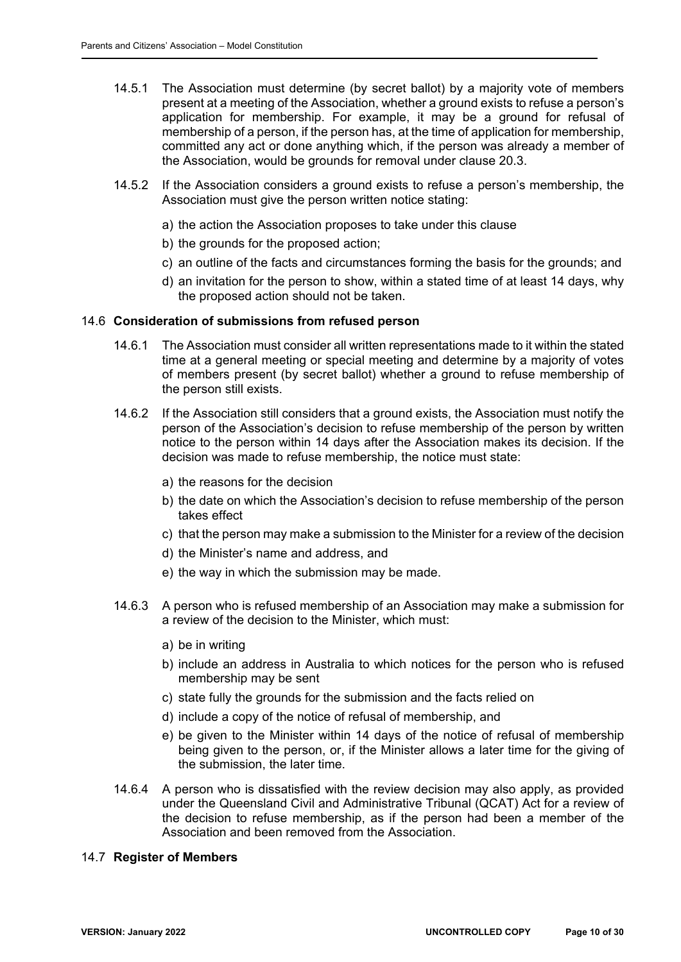- 14.5.1 The Association must determine (by secret ballot) by a majority vote of members present at a meeting of the Association, whether a ground exists to refuse a person's application for membership. For example, it may be a ground for refusal of membership of a person, if the person has, at the time of application for membership, committed any act or done anything which, if the person was already a member of the Association, would be grounds for removal under clause 20.3.
- 14.5.2 If the Association considers a ground exists to refuse a person's membership, the Association must give the person written notice stating:
	- a) the action the Association proposes to take under this clause
	- b) the grounds for the proposed action;
	- c) an outline of the facts and circumstances forming the basis for the grounds; and
	- d) an invitation for the person to show, within a stated time of at least 14 days, why the proposed action should not be taken.

#### 14.6 **Consideration of submissions from refused person**

- 14.6.1 The Association must consider all written representations made to it within the stated time at a general meeting or special meeting and determine by a majority of votes of members present (by secret ballot) whether a ground to refuse membership of the person still exists.
- 14.6.2 If the Association still considers that a ground exists, the Association must notify the person of the Association's decision to refuse membership of the person by written notice to the person within 14 days after the Association makes its decision. If the decision was made to refuse membership, the notice must state:
	- a) the reasons for the decision
	- b) the date on which the Association's decision to refuse membership of the person takes effect
	- c) that the person may make a submission to the Minister for a review of the decision
	- d) the Minister's name and address, and
	- e) the way in which the submission may be made.
- 14.6.3 A person who is refused membership of an Association may make a submission for a review of the decision to the Minister, which must:
	- a) be in writing
	- b) include an address in Australia to which notices for the person who is refused membership may be sent
	- c) state fully the grounds for the submission and the facts relied on
	- d) include a copy of the notice of refusal of membership, and
	- e) be given to the Minister within 14 days of the notice of refusal of membership being given to the person, or, if the Minister allows a later time for the giving of the submission, the later time.
- 14.6.4 A person who is dissatisfied with the review decision may also apply, as provided under the Queensland Civil and Administrative Tribunal (QCAT) Act for a review of the decision to refuse membership, as if the person had been a member of the Association and been removed from the Association.

#### 14.7 **Register of Members**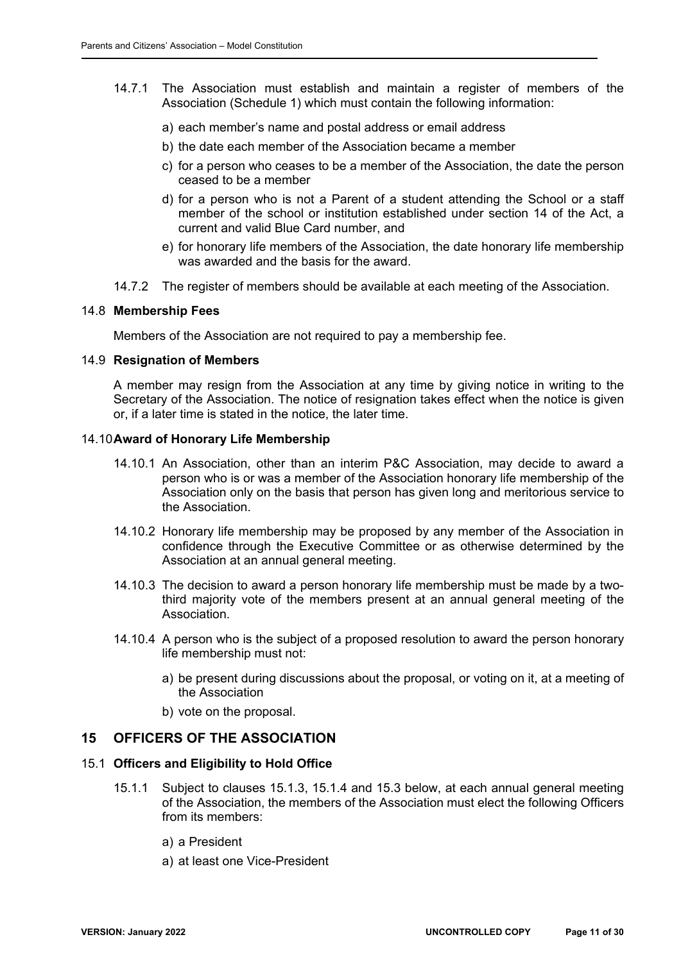- 14.7.1 The Association must establish and maintain a register of members of the Association (Schedule 1) which must contain the following information:
	- a) each member's name and postal address or email address
	- b) the date each member of the Association became a member
	- c) for a person who ceases to be a member of the Association, the date the person ceased to be a member
	- d) for a person who is not a Parent of a student attending the School or a staff member of the school or institution established under section 14 of the Act, a current and valid Blue Card number, and
	- e) for honorary life members of the Association, the date honorary life membership was awarded and the basis for the award.
- 14.7.2 The register of members should be available at each meeting of the Association.

#### 14.8 **Membership Fees**

Members of the Association are not required to pay a membership fee.

### 14.9 **Resignation of Members**

A member may resign from the Association at any time by giving notice in writing to the Secretary of the Association. The notice of resignation takes effect when the notice is given or, if a later time is stated in the notice, the later time.

#### 14.10 **Award of Honorary Life Membership**

- 14.10.1 An Association, other than an interim P&C Association, may decide to award a person who is or was a member of the Association honorary life membership of the Association only on the basis that person has given long and meritorious service to the Association.
- 14.10.2 Honorary life membership may be proposed by any member of the Association in confidence through the Executive Committee or as otherwise determined by the Association at an annual general meeting.
- 14.10.3 The decision to award a person honorary life membership must be made by a twothird majority vote of the members present at an annual general meeting of the Association.
- 14.10.4 A person who is the subject of a proposed resolution to award the person honorary life membership must not:
	- a) be present during discussions about the proposal, or voting on it, at a meeting of the Association
	- b) vote on the proposal.

#### **15 OFFICERS OF THE ASSOCIATION**

#### 15.1 **Officers and Eligibility to Hold Office**

- 15.1.1 Subject to clauses 15.1.3, 15.1.4 and 15.3 below, at each annual general meeting of the Association, the members of the Association must elect the following Officers from its members:
	- a) a President
	- a) at least one Vice-President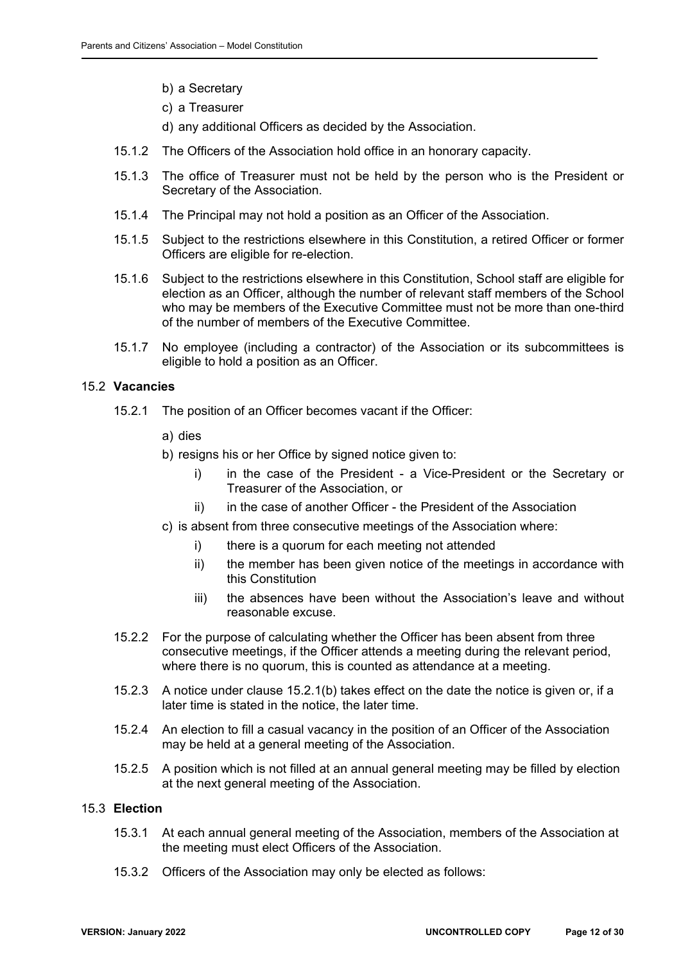- b) a Secretary
- c) a Treasurer
- d) any additional Officers as decided by the Association.
- 15.1.2 The Officers of the Association hold office in an honorary capacity.
- 15.1.3 The office of Treasurer must not be held by the person who is the President or Secretary of the Association.
- 15.1.4 The Principal may not hold a position as an Officer of the Association.
- 15.1.5 Subject to the restrictions elsewhere in this Constitution, a retired Officer or former Officers are eligible for re-election.
- 15.1.6 Subject to the restrictions elsewhere in this Constitution, School staff are eligible for election as an Officer, although the number of relevant staff members of the School who may be members of the Executive Committee must not be more than one-third of the number of members of the Executive Committee.
- 15.1.7 No employee (including a contractor) of the Association or its subcommittees is eligible to hold a position as an Officer.

#### 15.2 **Vacancies**

- 15.2.1 The position of an Officer becomes vacant if the Officer:
	- a) dies
	- b) resigns his or her Office by signed notice given to:
		- i) in the case of the President a Vice-President or the Secretary or Treasurer of the Association, or
		- ii) in the case of another Officer the President of the Association
	- c) is absent from three consecutive meetings of the Association where:
		- i) there is a quorum for each meeting not attended
		- ii) the member has been given notice of the meetings in accordance with this Constitution
		- iii) the absences have been without the Association's leave and without reasonable excuse.
- 15.2.2 For the purpose of calculating whether the Officer has been absent from three consecutive meetings, if the Officer attends a meeting during the relevant period, where there is no quorum, this is counted as attendance at a meeting.
- 15.2.3 A notice under clause 15.2.1(b) takes effect on the date the notice is given or, if a later time is stated in the notice, the later time.
- 15.2.4 An election to fill a casual vacancy in the position of an Officer of the Association may be held at a general meeting of the Association.
- 15.2.5 A position which is not filled at an annual general meeting may be filled by election at the next general meeting of the Association.

#### 15.3 **Election**

- 15.3.1 At each annual general meeting of the Association, members of the Association at the meeting must elect Officers of the Association.
- 15.3.2 Officers of the Association may only be elected as follows: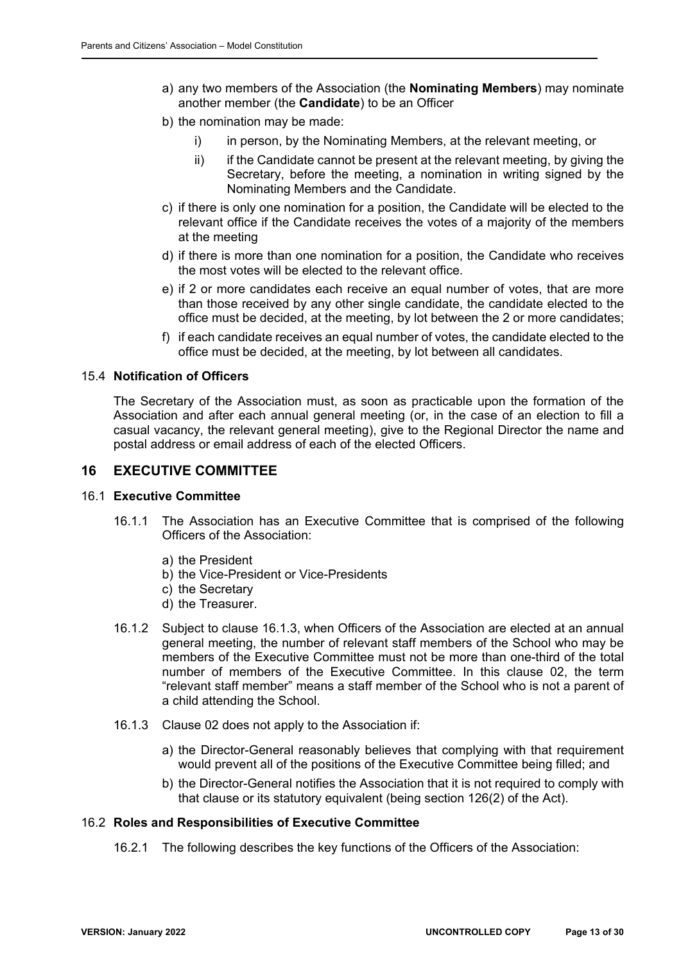- a) any two members of the Association (the **Nominating Members**) may nominate another member (the **Candidate**) to be an Officer
- b) the nomination may be made:
	- i) in person, by the Nominating Members, at the relevant meeting, or
	- $ii)$  if the Candidate cannot be present at the relevant meeting, by giving the Secretary, before the meeting, a nomination in writing signed by the Nominating Members and the Candidate.
- c) if there is only one nomination for a position, the Candidate will be elected to the relevant office if the Candidate receives the votes of a majority of the members at the meeting
- d) if there is more than one nomination for a position, the Candidate who receives the most votes will be elected to the relevant office.
- e) if 2 or more candidates each receive an equal number of votes, that are more than those received by any other single candidate, the candidate elected to the office must be decided, at the meeting, by lot between the 2 or more candidates;
- f) if each candidate receives an equal number of votes, the candidate elected to the office must be decided, at the meeting, by lot between all candidates.

#### 15.4 **Notification of Officers**

The Secretary of the Association must, as soon as practicable upon the formation of the Association and after each annual general meeting (or, in the case of an election to fill a casual vacancy, the relevant general meeting), give to the Regional Director the name and postal address or email address of each of the elected Officers.

## **16 EXECUTIVE COMMITTEE**

#### 16.1 **Executive Committee**

- 16.1.1 The Association has an Executive Committee that is comprised of the following Officers of the Association:
	- a) the President
	- b) the Vice-President or Vice-Presidents
	- c) the Secretary
	- d) the Treasurer.
- 16.1.2 Subject to clause 16.1.3, when Officers of the Association are elected at an annual general meeting, the number of relevant staff members of the School who may be members of the Executive Committee must not be more than one-third of the total number of members of the Executive Committee. In this clause 02, the term "relevant staff member" means a staff member of the School who is not a parent of a child attending the School.
- 16.1.3 Clause 02 does not apply to the Association if:
	- a) the Director-General reasonably believes that complying with that requirement would prevent all of the positions of the Executive Committee being filled; and
	- b) the Director-General notifies the Association that it is not required to comply with that clause or its statutory equivalent (being section 126(2) of the Act).

#### 16.2 **Roles and Responsibilities of Executive Committee**

16.2.1 The following describes the key functions of the Officers of the Association: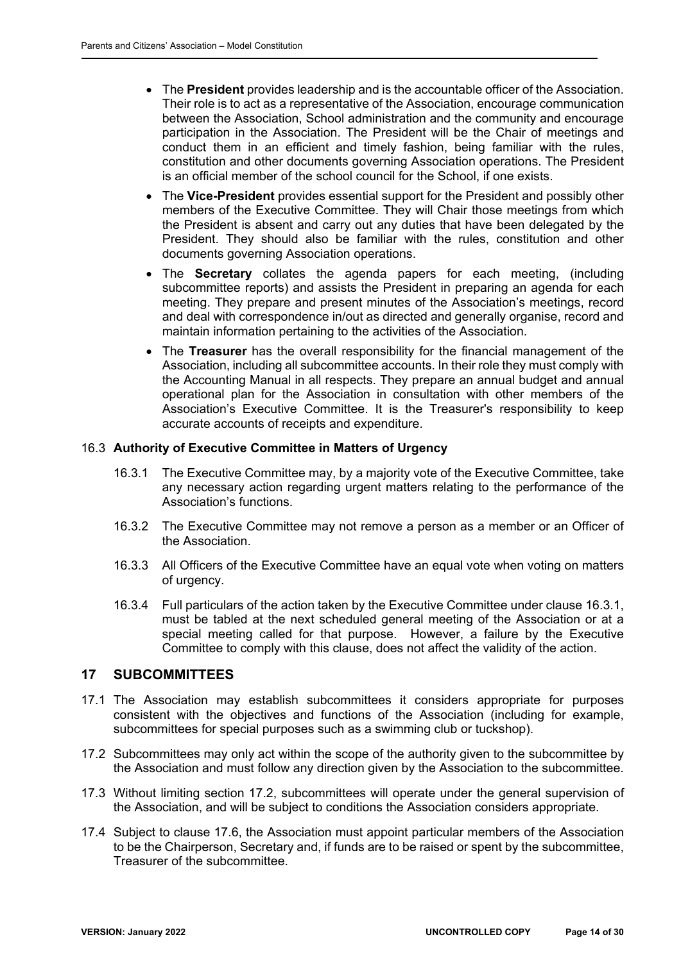- The **President** provides leadership and is the accountable officer of the Association. Their role is to act as a representative of the Association, encourage communication between the Association, School administration and the community and encourage participation in the Association. The President will be the Chair of meetings and conduct them in an efficient and timely fashion, being familiar with the rules, constitution and other documents governing Association operations. The President is an official member of the school council for the School, if one exists.
- The **Vice-President** provides essential support for the President and possibly other members of the Executive Committee. They will Chair those meetings from which the President is absent and carry out any duties that have been delegated by the President. They should also be familiar with the rules, constitution and other documents governing Association operations.
- The **Secretary** collates the agenda papers for each meeting, (including subcommittee reports) and assists the President in preparing an agenda for each meeting. They prepare and present minutes of the Association's meetings, record and deal with correspondence in/out as directed and generally organise, record and maintain information pertaining to the activities of the Association.
- The **Treasurer** has the overall responsibility for the financial management of the Association, including all subcommittee accounts. In their role they must comply with the Accounting Manual in all respects. They prepare an annual budget and annual operational plan for the Association in consultation with other members of the Association's Executive Committee. It is the Treasurer's responsibility to keep accurate accounts of receipts and expenditure.

#### 16.3 **Authority of Executive Committee in Matters of Urgency**

- 16.3.1 The Executive Committee may, by a majority vote of the Executive Committee, take any necessary action regarding urgent matters relating to the performance of the Association's functions.
- 16.3.2 The Executive Committee may not remove a person as a member or an Officer of the Association.
- 16.3.3 All Officers of the Executive Committee have an equal vote when voting on matters of urgency.
- 16.3.4 Full particulars of the action taken by the Executive Committee under clause 16.3.1, must be tabled at the next scheduled general meeting of the Association or at a special meeting called for that purpose. However, a failure by the Executive Committee to comply with this clause, does not affect the validity of the action.

#### **17 SUBCOMMITTEES**

- 17.1 The Association may establish subcommittees it considers appropriate for purposes consistent with the objectives and functions of the Association (including for example, subcommittees for special purposes such as a swimming club or tuckshop).
- 17.2 Subcommittees may only act within the scope of the authority given to the subcommittee by the Association and must follow any direction given by the Association to the subcommittee.
- 17.3 Without limiting section 17.2, subcommittees will operate under the general supervision of the Association, and will be subject to conditions the Association considers appropriate.
- 17.4 Subject to clause 17.6, the Association must appoint particular members of the Association to be the Chairperson, Secretary and, if funds are to be raised or spent by the subcommittee, Treasurer of the subcommittee.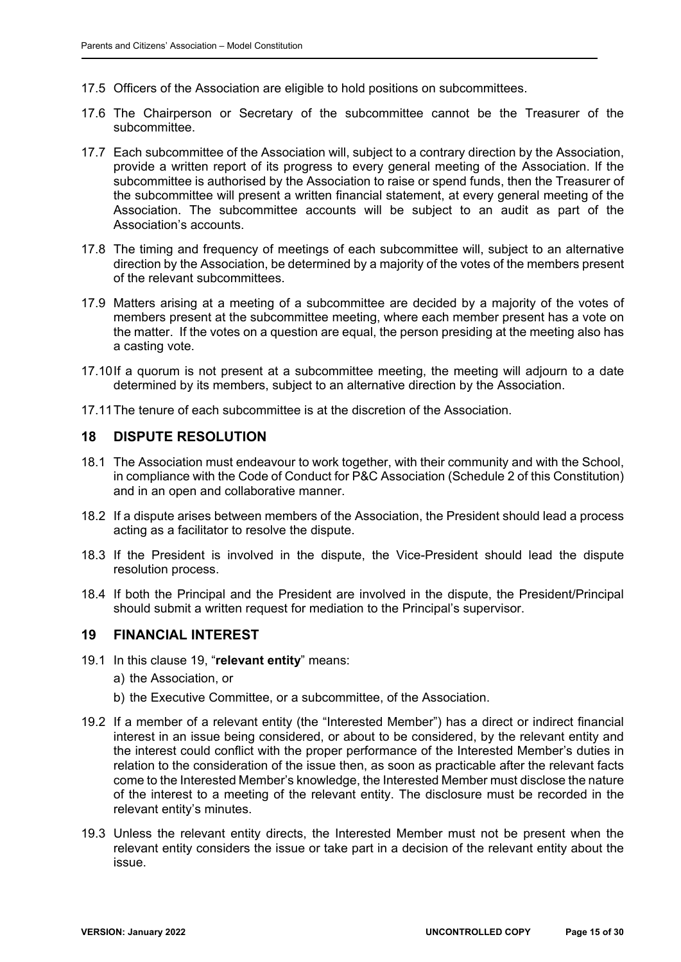- 17.5 Officers of the Association are eligible to hold positions on subcommittees.
- 17.6 The Chairperson or Secretary of the subcommittee cannot be the Treasurer of the subcommittee.
- 17.7 Each subcommittee of the Association will, subject to a contrary direction by the Association, provide a written report of its progress to every general meeting of the Association. If the subcommittee is authorised by the Association to raise or spend funds, then the Treasurer of the subcommittee will present a written financial statement, at every general meeting of the Association. The subcommittee accounts will be subject to an audit as part of the Association's accounts.
- 17.8 The timing and frequency of meetings of each subcommittee will, subject to an alternative direction by the Association, be determined by a majority of the votes of the members present of the relevant subcommittees.
- 17.9 Matters arising at a meeting of a subcommittee are decided by a majority of the votes of members present at the subcommittee meeting, where each member present has a vote on the matter. If the votes on a question are equal, the person presiding at the meeting also has a casting vote.
- 17.10 If a quorum is not present at a subcommittee meeting, the meeting will adjourn to a date determined by its members, subject to an alternative direction by the Association.
- 17.11 The tenure of each subcommittee is at the discretion of the Association.

### **18 DISPUTE RESOLUTION**

- 18.1 The Association must endeavour to work together, with their community and with the School, in compliance with the Code of Conduct for P&C Association (Schedule 2 of this Constitution) and in an open and collaborative manner.
- 18.2 If a dispute arises between members of the Association, the President should lead a process acting as a facilitator to resolve the dispute.
- 18.3 If the President is involved in the dispute, the Vice-President should lead the dispute resolution process.
- 18.4 If both the Principal and the President are involved in the dispute, the President/Principal should submit a written request for mediation to the Principal's supervisor.

## **19 FINANCIAL INTEREST**

- 19.1 In this clause 19, "**relevant entity**" means:
	- a) the Association, or
	- b) the Executive Committee, or a subcommittee, of the Association.
- 19.2 If a member of a relevant entity (the "Interested Member") has a direct or indirect financial interest in an issue being considered, or about to be considered, by the relevant entity and the interest could conflict with the proper performance of the Interested Member's duties in relation to the consideration of the issue then, as soon as practicable after the relevant facts come to the Interested Member's knowledge, the Interested Member must disclose the nature of the interest to a meeting of the relevant entity. The disclosure must be recorded in the relevant entity's minutes.
- 19.3 Unless the relevant entity directs, the Interested Member must not be present when the relevant entity considers the issue or take part in a decision of the relevant entity about the issue.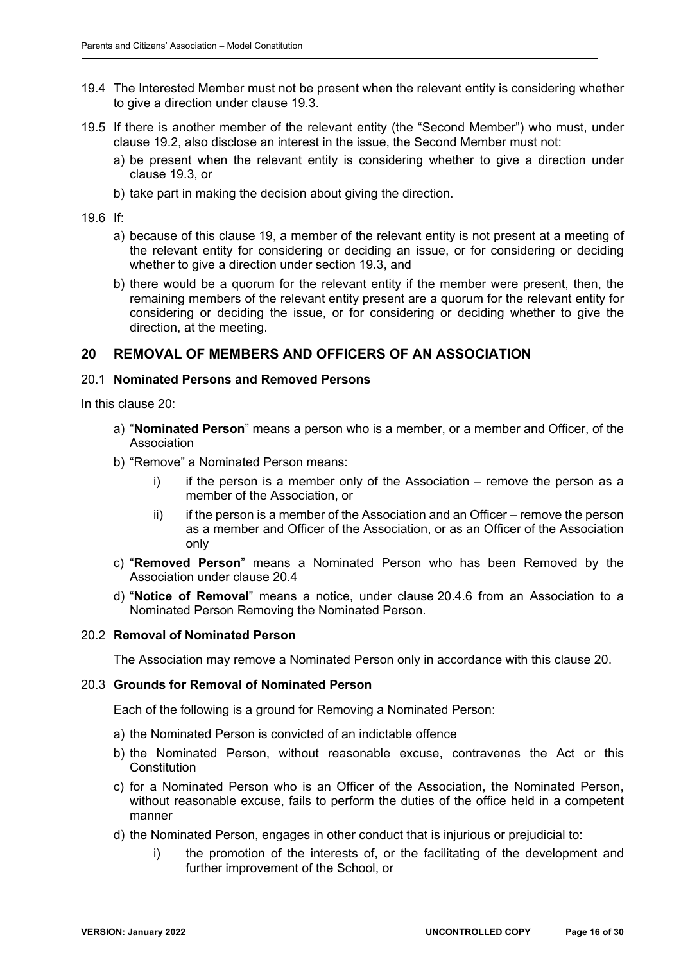- 19.4 The Interested Member must not be present when the relevant entity is considering whether to give a direction under clause 19.3.
- 19.5 If there is another member of the relevant entity (the "Second Member") who must, under clause 19.2, also disclose an interest in the issue, the Second Member must not:
	- a) be present when the relevant entity is considering whether to give a direction under clause 19.3, or
	- b) take part in making the decision about giving the direction.

19.6 If:

- a) because of this clause 19, a member of the relevant entity is not present at a meeting of the relevant entity for considering or deciding an issue, or for considering or deciding whether to give a direction under section 19.3, and
- b) there would be a quorum for the relevant entity if the member were present, then, the remaining members of the relevant entity present are a quorum for the relevant entity for considering or deciding the issue, or for considering or deciding whether to give the direction, at the meeting.

## **20 REMOVAL OF MEMBERS AND OFFICERS OF AN ASSOCIATION**

#### 20.1 **Nominated Persons and Removed Persons**

In this clause 20:

- a) "**Nominated Person**" means a person who is a member, or a member and Officer, of the Association
- b) "Remove" a Nominated Person means:
	- $i)$  if the person is a member only of the Association remove the person as a member of the Association, or
	- ii) if the person is a member of the Association and an Officer remove the person as a member and Officer of the Association, or as an Officer of the Association only
- c) "**Removed Person**" means a Nominated Person who has been Removed by the Association under clause 20.4
- d) "**Notice of Removal**" means a notice, under clause 20.4.6 from an Association to a Nominated Person Removing the Nominated Person.

#### 20.2 **Removal of Nominated Person**

The Association may remove a Nominated Person only in accordance with this clause 20.

#### 20.3 **Grounds for Removal of Nominated Person**

Each of the following is a ground for Removing a Nominated Person:

- a) the Nominated Person is convicted of an indictable offence
- b) the Nominated Person, without reasonable excuse, contravenes the Act or this Constitution
- c) for a Nominated Person who is an Officer of the Association, the Nominated Person, without reasonable excuse, fails to perform the duties of the office held in a competent manner
- d) the Nominated Person, engages in other conduct that is injurious or prejudicial to:
	- i) the promotion of the interests of, or the facilitating of the development and further improvement of the School, or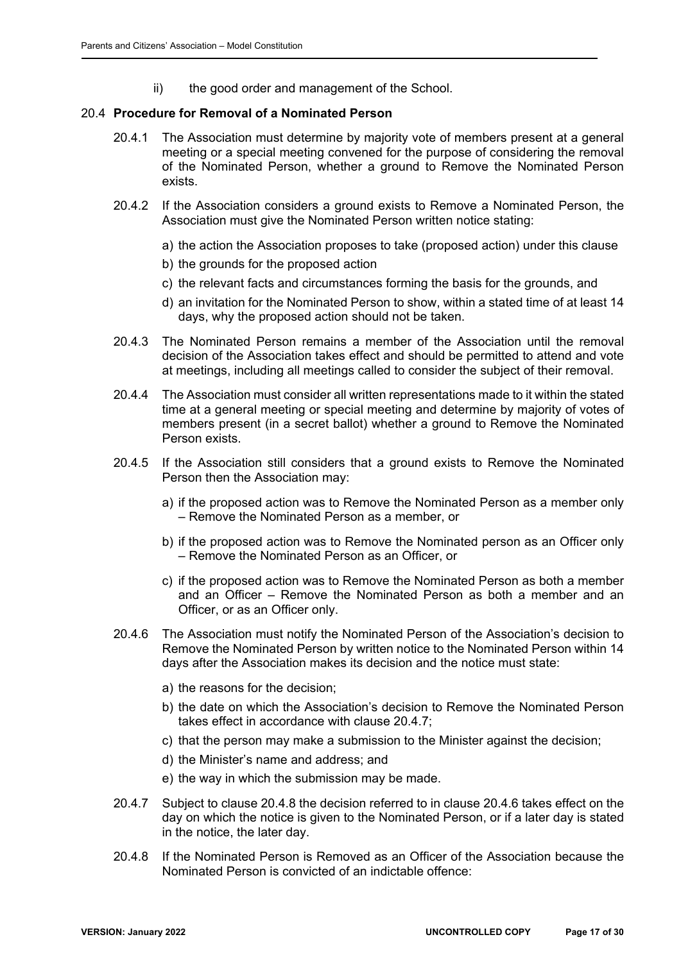ii) the good order and management of the School.

#### 20.4 **Procedure for Removal of a Nominated Person**

- 20.4.1 The Association must determine by majority vote of members present at a general meeting or a special meeting convened for the purpose of considering the removal of the Nominated Person, whether a ground to Remove the Nominated Person exists.
- 20.4.2 If the Association considers a ground exists to Remove a Nominated Person, the Association must give the Nominated Person written notice stating:
	- a) the action the Association proposes to take (proposed action) under this clause
	- b) the grounds for the proposed action
	- c) the relevant facts and circumstances forming the basis for the grounds, and
	- d) an invitation for the Nominated Person to show, within a stated time of at least 14 days, why the proposed action should not be taken.
- 20.4.3 The Nominated Person remains a member of the Association until the removal decision of the Association takes effect and should be permitted to attend and vote at meetings, including all meetings called to consider the subject of their removal.
- 20.4.4 The Association must consider all written representations made to it within the stated time at a general meeting or special meeting and determine by majority of votes of members present (in a secret ballot) whether a ground to Remove the Nominated Person exists.
- 20.4.5 If the Association still considers that a ground exists to Remove the Nominated Person then the Association may:
	- a) if the proposed action was to Remove the Nominated Person as a member only – Remove the Nominated Person as a member, or
	- b) if the proposed action was to Remove the Nominated person as an Officer only – Remove the Nominated Person as an Officer, or
	- c) if the proposed action was to Remove the Nominated Person as both a member and an Officer – Remove the Nominated Person as both a member and an Officer, or as an Officer only.
- 20.4.6 The Association must notify the Nominated Person of the Association's decision to Remove the Nominated Person by written notice to the Nominated Person within 14 days after the Association makes its decision and the notice must state:
	- a) the reasons for the decision;
	- b) the date on which the Association's decision to Remove the Nominated Person takes effect in accordance with clause 20.4.7;
	- c) that the person may make a submission to the Minister against the decision;
	- d) the Minister's name and address; and
	- e) the way in which the submission may be made.
- 20.4.7 Subject to clause 20.4.8 the decision referred to in clause 20.4.6 takes effect on the day on which the notice is given to the Nominated Person, or if a later day is stated in the notice, the later day.
- 20.4.8 If the Nominated Person is Removed as an Officer of the Association because the Nominated Person is convicted of an indictable offence: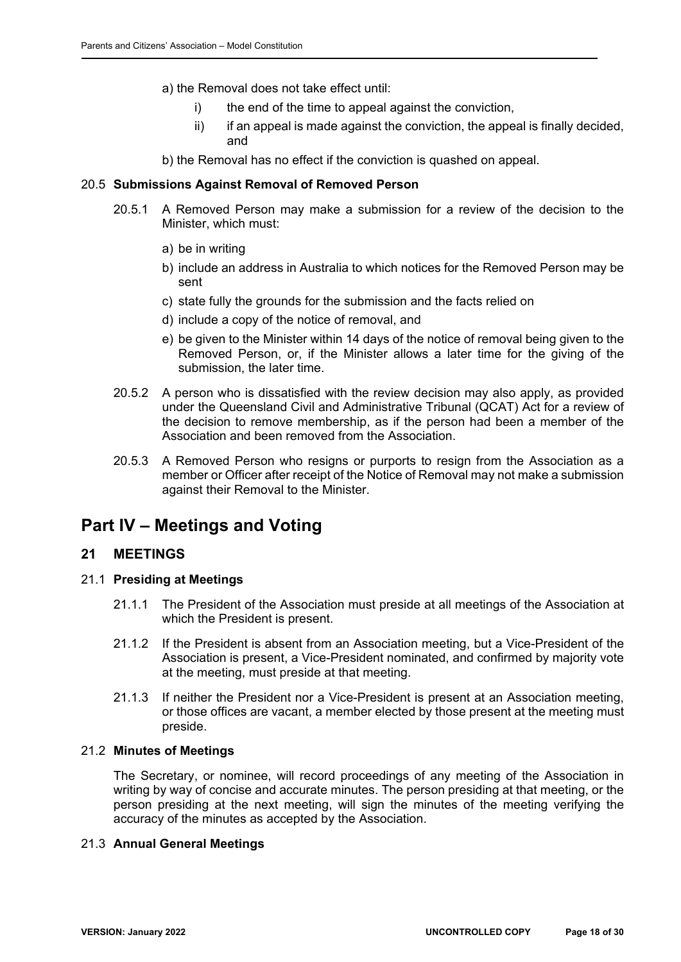- a) the Removal does not take effect until:
	- i) the end of the time to appeal against the conviction,
	- ii) if an appeal is made against the conviction, the appeal is finally decided, and

b) the Removal has no effect if the conviction is quashed on appeal.

### 20.5 **Submissions Against Removal of Removed Person**

- 20.5.1 A Removed Person may make a submission for a review of the decision to the Minister, which must:
	- a) be in writing
	- b) include an address in Australia to which notices for the Removed Person may be sent
	- c) state fully the grounds for the submission and the facts relied on
	- d) include a copy of the notice of removal, and
	- e) be given to the Minister within 14 days of the notice of removal being given to the Removed Person, or, if the Minister allows a later time for the giving of the submission, the later time.
- 20.5.2 A person who is dissatisfied with the review decision may also apply, as provided under the Queensland Civil and Administrative Tribunal (QCAT) Act for a review of the decision to remove membership, as if the person had been a member of the Association and been removed from the Association.
- 20.5.3 A Removed Person who resigns or purports to resign from the Association as a member or Officer after receipt of the Notice of Removal may not make a submission against their Removal to the Minister.

# **Part IV – Meetings and Voting**

## **21 MEETINGS**

#### 21.1 **Presiding at Meetings**

- 21.1.1 The President of the Association must preside at all meetings of the Association at which the President is present.
- 21.1.2 If the President is absent from an Association meeting, but a Vice-President of the Association is present, a Vice-President nominated, and confirmed by majority vote at the meeting, must preside at that meeting.
- 21.1.3 If neither the President nor a Vice-President is present at an Association meeting, or those offices are vacant, a member elected by those present at the meeting must preside.

#### 21.2 **Minutes of Meetings**

The Secretary, or nominee, will record proceedings of any meeting of the Association in writing by way of concise and accurate minutes. The person presiding at that meeting, or the person presiding at the next meeting, will sign the minutes of the meeting verifying the accuracy of the minutes as accepted by the Association.

### 21.3 **Annual General Meetings**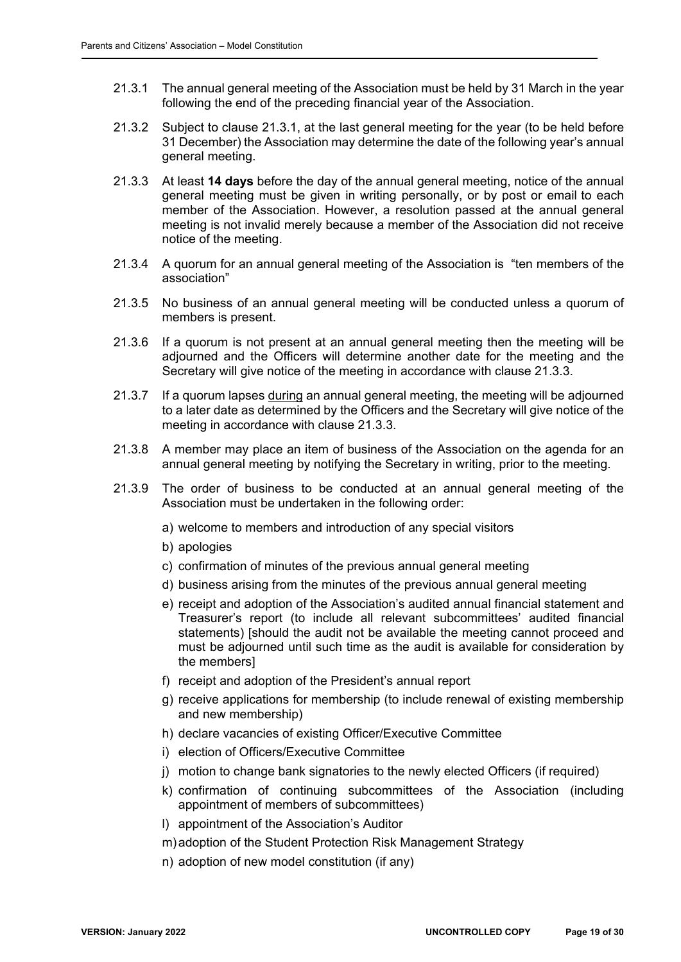- 21.3.1 The annual general meeting of the Association must be held by 31 March in the year following the end of the preceding financial year of the Association.
- 21.3.2 Subject to clause 21.3.1, at the last general meeting for the year (to be held before 31 December) the Association may determine the date of the following year's annual general meeting.
- 21.3.3 At least **14 days** before the day of the annual general meeting, notice of the annual general meeting must be given in writing personally, or by post or email to each member of the Association. However, a resolution passed at the annual general meeting is not invalid merely because a member of the Association did not receive notice of the meeting.
- 21.3.4 A quorum for an annual general meeting of the Association is "ten members of the association"
- 21.3.5 No business of an annual general meeting will be conducted unless a quorum of members is present.
- 21.3.6 If a quorum is not present at an annual general meeting then the meeting will be adjourned and the Officers will determine another date for the meeting and the Secretary will give notice of the meeting in accordance with clause 21.3.3.
- 21.3.7 If a quorum lapses during an annual general meeting, the meeting will be adjourned to a later date as determined by the Officers and the Secretary will give notice of the meeting in accordance with clause 21.3.3.
- 21.3.8 A member may place an item of business of the Association on the agenda for an annual general meeting by notifying the Secretary in writing, prior to the meeting.
- 21.3.9 The order of business to be conducted at an annual general meeting of the Association must be undertaken in the following order:
	- a) welcome to members and introduction of any special visitors
	- b) apologies
	- c) confirmation of minutes of the previous annual general meeting
	- d) business arising from the minutes of the previous annual general meeting
	- e) receipt and adoption of the Association's audited annual financial statement and Treasurer's report (to include all relevant subcommittees' audited financial statements) [should the audit not be available the meeting cannot proceed and must be adjourned until such time as the audit is available for consideration by the members]
	- f) receipt and adoption of the President's annual report
	- g) receive applications for membership (to include renewal of existing membership and new membership)
	- h) declare vacancies of existing Officer/Executive Committee
	- i) election of Officers/Executive Committee
	- j) motion to change bank signatories to the newly elected Officers (if required)
	- k) confirmation of continuing subcommittees of the Association (including appointment of members of subcommittees)
	- l) appointment of the Association's Auditor
	- m) adoption of the Student Protection Risk Management Strategy
	- n) adoption of new model constitution (if any)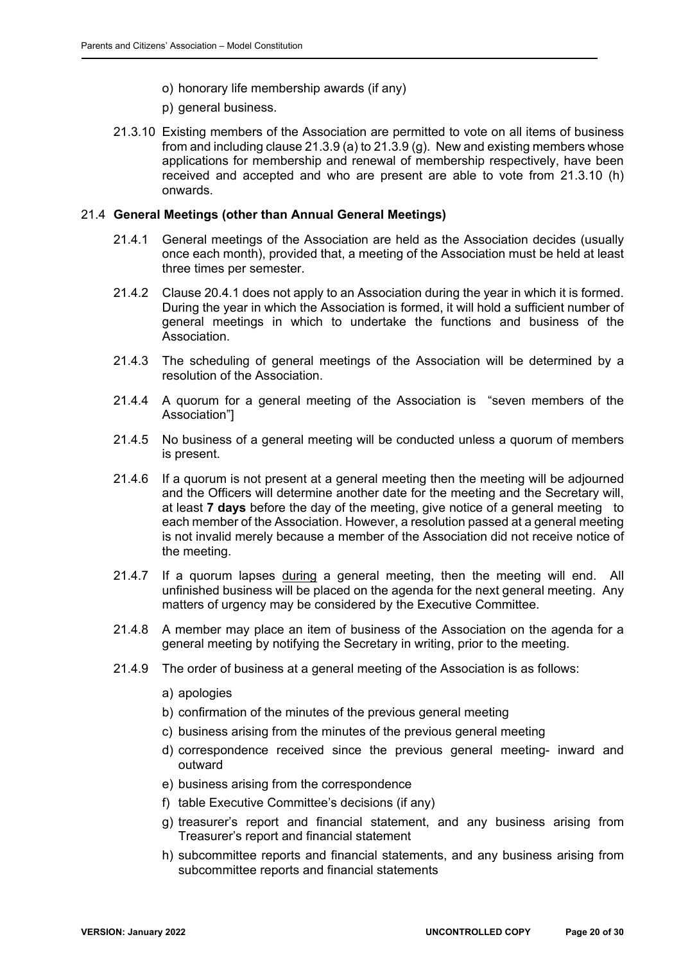- o) honorary life membership awards (if any)
- p) general business.
- 21.3.10 Existing members of the Association are permitted to vote on all items of business from and including clause 21.3.9 (a) to 21.3.9 (g). New and existing members whose applications for membership and renewal of membership respectively, have been received and accepted and who are present are able to vote from 21.3.10 (h) onwards.

#### 21.4 **General Meetings (other than Annual General Meetings)**

- 21.4.1 General meetings of the Association are held as the Association decides (usually once each month), provided that, a meeting of the Association must be held at least three times per semester.
- 21.4.2 Clause 20.4.1 does not apply to an Association during the year in which it is formed. During the year in which the Association is formed, it will hold a sufficient number of general meetings in which to undertake the functions and business of the Association.
- 21.4.3 The scheduling of general meetings of the Association will be determined by a resolution of the Association.
- 21.4.4 A quorum for a general meeting of the Association is "seven members of the Association"]
- 21.4.5 No business of a general meeting will be conducted unless a quorum of members is present.
- 21.4.6 If a quorum is not present at a general meeting then the meeting will be adjourned and the Officers will determine another date for the meeting and the Secretary will, at least **7 days** before the day of the meeting, give notice of a general meeting to each member of the Association. However, a resolution passed at a general meeting is not invalid merely because a member of the Association did not receive notice of the meeting.
- 21.4.7 If a quorum lapses during a general meeting, then the meeting will end. All unfinished business will be placed on the agenda for the next general meeting. Any matters of urgency may be considered by the Executive Committee.
- 21.4.8 A member may place an item of business of the Association on the agenda for a general meeting by notifying the Secretary in writing, prior to the meeting.
- 21.4.9 The order of business at a general meeting of the Association is as follows:
	- a) apologies
	- b) confirmation of the minutes of the previous general meeting
	- c) business arising from the minutes of the previous general meeting
	- d) correspondence received since the previous general meeting- inward and outward
	- e) business arising from the correspondence
	- f) table Executive Committee's decisions (if any)
	- g) treasurer's report and financial statement, and any business arising from Treasurer's report and financial statement
	- h) subcommittee reports and financial statements, and any business arising from subcommittee reports and financial statements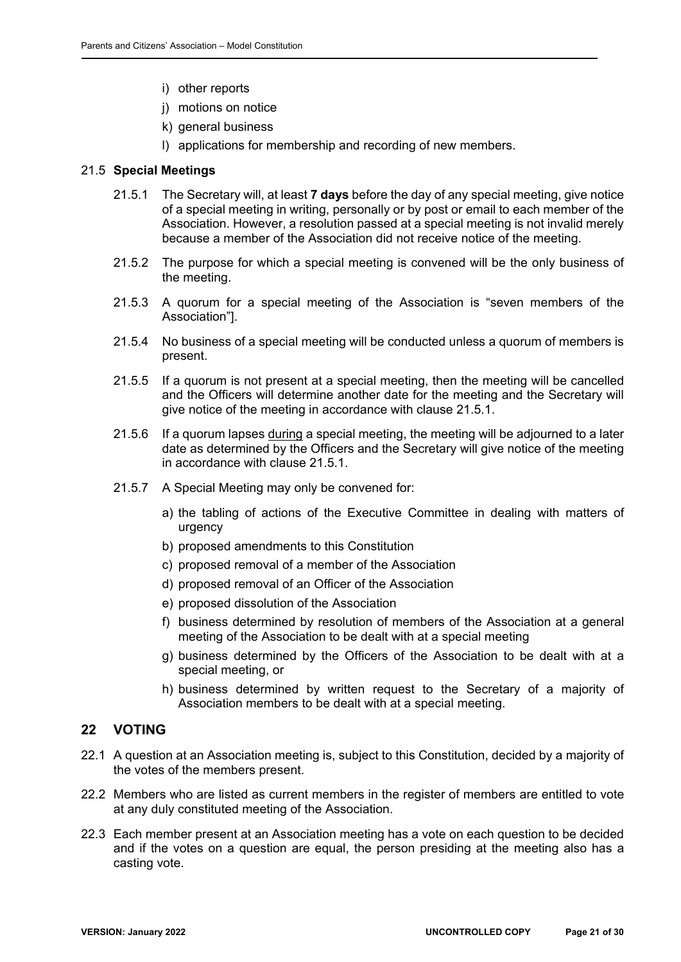- i) other reports
- j) motions on notice
- k) general business
- l) applications for membership and recording of new members.

#### 21.5 **Special Meetings**

- 21.5.1 The Secretary will, at least **7 days** before the day of any special meeting, give notice of a special meeting in writing, personally or by post or email to each member of the Association. However, a resolution passed at a special meeting is not invalid merely because a member of the Association did not receive notice of the meeting.
- 21.5.2 The purpose for which a special meeting is convened will be the only business of the meeting.
- 21.5.3 A quorum for a special meeting of the Association is "seven members of the Association"].
- 21.5.4 No business of a special meeting will be conducted unless a quorum of members is present.
- 21.5.5 If a quorum is not present at a special meeting, then the meeting will be cancelled and the Officers will determine another date for the meeting and the Secretary will give notice of the meeting in accordance with clause 21.5.1.
- 21.5.6 If a quorum lapses during a special meeting, the meeting will be adjourned to a later date as determined by the Officers and the Secretary will give notice of the meeting in accordance with clause 21.5.1.
- 21.5.7 A Special Meeting may only be convened for:
	- a) the tabling of actions of the Executive Committee in dealing with matters of urgency
	- b) proposed amendments to this Constitution
	- c) proposed removal of a member of the Association
	- d) proposed removal of an Officer of the Association
	- e) proposed dissolution of the Association
	- f) business determined by resolution of members of the Association at a general meeting of the Association to be dealt with at a special meeting
	- g) business determined by the Officers of the Association to be dealt with at a special meeting, or
	- h) business determined by written request to the Secretary of a majority of Association members to be dealt with at a special meeting.

## **22 VOTING**

- 22.1 A question at an Association meeting is, subject to this Constitution, decided by a majority of the votes of the members present.
- 22.2 Members who are listed as current members in the register of members are entitled to vote at any duly constituted meeting of the Association.
- 22.3 Each member present at an Association meeting has a vote on each question to be decided and if the votes on a question are equal, the person presiding at the meeting also has a casting vote.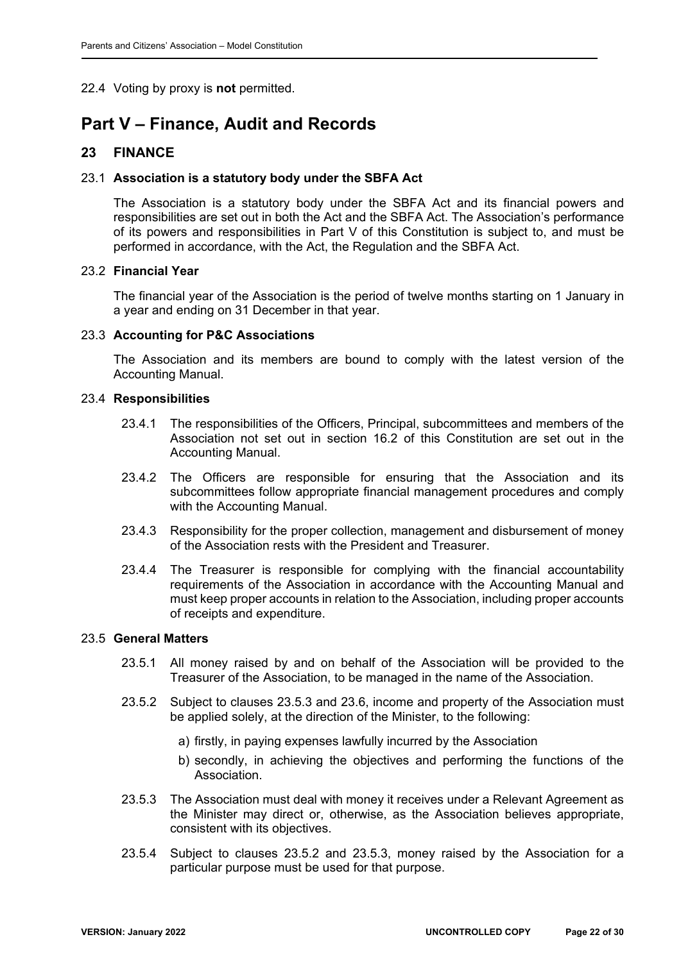## 22.4 Voting by proxy is **not** permitted.

# **Part V – Finance, Audit and Records**

## **23 FINANCE**

### 23.1 **Association is a statutory body under the SBFA Act**

The Association is a statutory body under the SBFA Act and its financial powers and responsibilities are set out in both the Act and the SBFA Act. The Association's performance of its powers and responsibilities in Part V of this Constitution is subject to, and must be performed in accordance, with the Act, the Regulation and the SBFA Act.

#### 23.2 **Financial Year**

The financial year of the Association is the period of twelve months starting on 1 January in a year and ending on 31 December in that year.

### 23.3 **Accounting for P&C Associations**

The Association and its members are bound to comply with the latest version of the Accounting Manual.

#### 23.4 **Responsibilities**

- 23.4.1 The responsibilities of the Officers, Principal, subcommittees and members of the Association not set out in section 16.2 of this Constitution are set out in the Accounting Manual.
- 23.4.2 The Officers are responsible for ensuring that the Association and its subcommittees follow appropriate financial management procedures and comply with the Accounting Manual.
- 23.4.3 Responsibility for the proper collection, management and disbursement of money of the Association rests with the President and Treasurer.
- 23.4.4 The Treasurer is responsible for complying with the financial accountability requirements of the Association in accordance with the Accounting Manual and must keep proper accounts in relation to the Association, including proper accounts of receipts and expenditure.

#### 23.5 **General Matters**

- 23.5.1 All money raised by and on behalf of the Association will be provided to the Treasurer of the Association, to be managed in the name of the Association.
- 23.5.2 Subject to clauses 23.5.3 and 23.6, income and property of the Association must be applied solely, at the direction of the Minister, to the following:
	- a) firstly, in paying expenses lawfully incurred by the Association
	- b) secondly, in achieving the objectives and performing the functions of the Association.
- 23.5.3 The Association must deal with money it receives under a Relevant Agreement as the Minister may direct or, otherwise, as the Association believes appropriate, consistent with its objectives.
- 23.5.4 Subject to clauses 23.5.2 and 23.5.3, money raised by the Association for a particular purpose must be used for that purpose.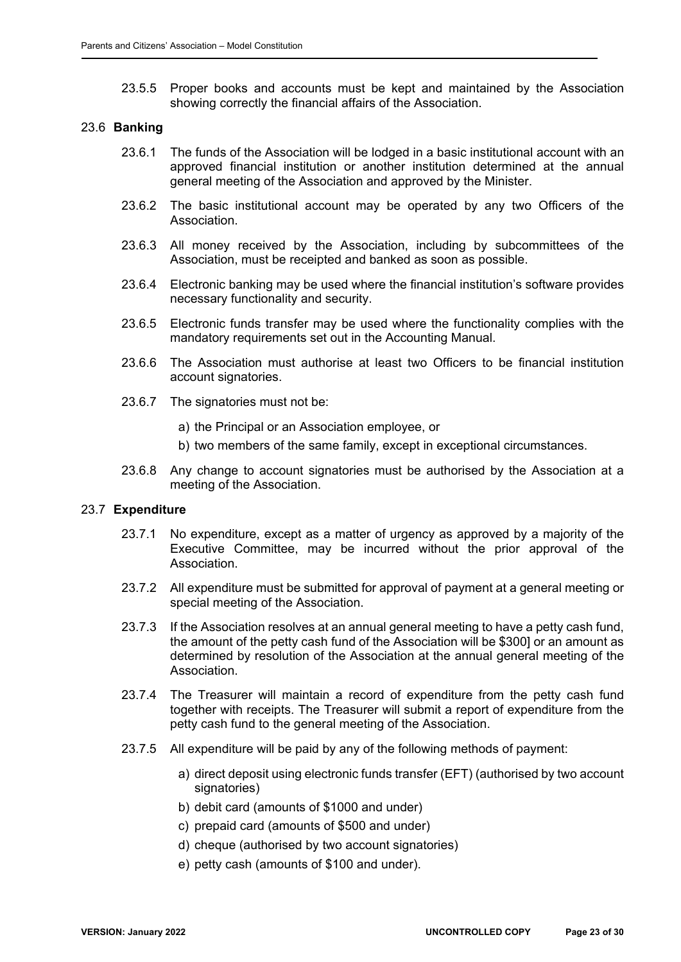23.5.5 Proper books and accounts must be kept and maintained by the Association showing correctly the financial affairs of the Association.

#### 23.6 **Banking**

- 23.6.1 The funds of the Association will be lodged in a basic institutional account with an approved financial institution or another institution determined at the annual general meeting of the Association and approved by the Minister.
- 23.6.2 The basic institutional account may be operated by any two Officers of the Association.
- 23.6.3 All money received by the Association, including by subcommittees of the Association, must be receipted and banked as soon as possible.
- 23.6.4 Electronic banking may be used where the financial institution's software provides necessary functionality and security.
- 23.6.5 Electronic funds transfer may be used where the functionality complies with the mandatory requirements set out in the Accounting Manual.
- 23.6.6 The Association must authorise at least two Officers to be financial institution account signatories.
- 23.6.7 The signatories must not be:
	- a) the Principal or an Association employee, or
	- b) two members of the same family, except in exceptional circumstances.
- 23.6.8 Any change to account signatories must be authorised by the Association at a meeting of the Association.

#### 23.7 **Expenditure**

- 23.7.1 No expenditure, except as a matter of urgency as approved by a majority of the Executive Committee, may be incurred without the prior approval of the Association.
- 23.7.2 All expenditure must be submitted for approval of payment at a general meeting or special meeting of the Association.
- 23.7.3 If the Association resolves at an annual general meeting to have a petty cash fund, the amount of the petty cash fund of the Association will be \$300] or an amount as determined by resolution of the Association at the annual general meeting of the **Association**
- 23.7.4 The Treasurer will maintain a record of expenditure from the petty cash fund together with receipts. The Treasurer will submit a report of expenditure from the petty cash fund to the general meeting of the Association.
- 23.7.5 All expenditure will be paid by any of the following methods of payment:
	- a) direct deposit using electronic funds transfer (EFT) (authorised by two account signatories)
	- b) debit card (amounts of \$1000 and under)
	- c) prepaid card (amounts of \$500 and under)
	- d) cheque (authorised by two account signatories)
	- e) petty cash (amounts of \$100 and under).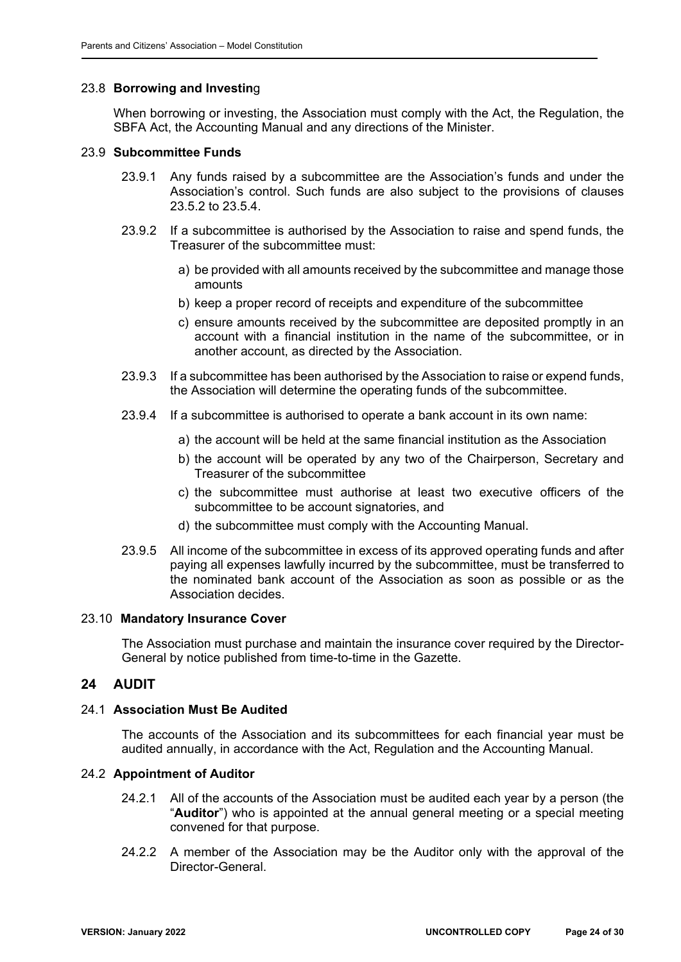### 23.8 **Borrowing and Investin**g

When borrowing or investing, the Association must comply with the Act, the Regulation, the SBFA Act, the Accounting Manual and any directions of the Minister.

#### 23.9 **Subcommittee Funds**

- 23.9.1 Any funds raised by a subcommittee are the Association's funds and under the Association's control. Such funds are also subject to the provisions of clauses 23.5.2 to 23.5.4.
- 23.9.2 If a subcommittee is authorised by the Association to raise and spend funds, the Treasurer of the subcommittee must:
	- a) be provided with all amounts received by the subcommittee and manage those amounts
	- b) keep a proper record of receipts and expenditure of the subcommittee
	- c) ensure amounts received by the subcommittee are deposited promptly in an account with a financial institution in the name of the subcommittee, or in another account, as directed by the Association.
- 23.9.3 If a subcommittee has been authorised by the Association to raise or expend funds, the Association will determine the operating funds of the subcommittee.
- 23.9.4 If a subcommittee is authorised to operate a bank account in its own name:
	- a) the account will be held at the same financial institution as the Association
	- b) the account will be operated by any two of the Chairperson, Secretary and Treasurer of the subcommittee
	- c) the subcommittee must authorise at least two executive officers of the subcommittee to be account signatories, and
	- d) the subcommittee must comply with the Accounting Manual.
- 23.9.5 All income of the subcommittee in excess of its approved operating funds and after paying all expenses lawfully incurred by the subcommittee, must be transferred to the nominated bank account of the Association as soon as possible or as the Association decides.

#### 23.10 **Mandatory Insurance Cover**

The Association must purchase and maintain the insurance cover required by the Director-General by notice published from time-to-time in the Gazette.

#### **24 AUDIT**

### 24.1 **Association Must Be Audited**

The accounts of the Association and its subcommittees for each financial year must be audited annually, in accordance with the Act, Regulation and the Accounting Manual.

#### 24.2 **Appointment of Auditor**

- 24.2.1 All of the accounts of the Association must be audited each year by a person (the "**Auditor**") who is appointed at the annual general meeting or a special meeting convened for that purpose.
- 24.2.2 A member of the Association may be the Auditor only with the approval of the Director-General.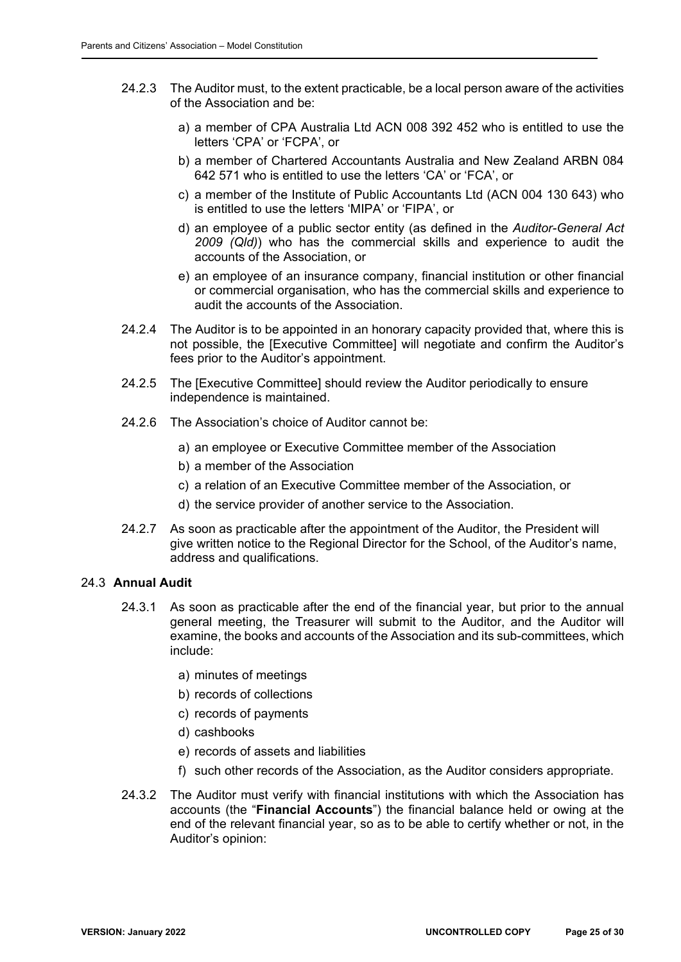- 24.2.3 The Auditor must, to the extent practicable, be a local person aware of the activities of the Association and be:
	- a) a member of CPA Australia Ltd ACN 008 392 452 who is entitled to use the letters 'CPA' or 'FCPA', or
	- b) a member of Chartered Accountants Australia and New Zealand ARBN 084 642 571 who is entitled to use the letters 'CA' or 'FCA', or
	- c) a member of the Institute of Public Accountants Ltd (ACN 004 130 643) who is entitled to use the letters 'MIPA' or 'FIPA', or
	- d) an employee of a public sector entity (as defined in the *Auditor-General Act 2009 (Qld)*) who has the commercial skills and experience to audit the accounts of the Association, or
	- e) an employee of an insurance company, financial institution or other financial or commercial organisation, who has the commercial skills and experience to audit the accounts of the Association.
- 24.2.4 The Auditor is to be appointed in an honorary capacity provided that, where this is not possible, the [Executive Committee] will negotiate and confirm the Auditor's fees prior to the Auditor's appointment.
- 24.2.5 The [Executive Committee] should review the Auditor periodically to ensure independence is maintained.
- 24.2.6 The Association's choice of Auditor cannot be:
	- a) an employee or Executive Committee member of the Association
	- b) a member of the Association
	- c) a relation of an Executive Committee member of the Association, or
	- d) the service provider of another service to the Association.
- 24.2.7 As soon as practicable after the appointment of the Auditor, the President will give written notice to the Regional Director for the School, of the Auditor's name, address and qualifications.

#### 24.3 **Annual Audit**

- 24.3.1 As soon as practicable after the end of the financial year, but prior to the annual general meeting, the Treasurer will submit to the Auditor, and the Auditor will examine, the books and accounts of the Association and its sub-committees, which include:
	- a) minutes of meetings
	- b) records of collections
	- c) records of payments
	- d) cashbooks
	- e) records of assets and liabilities
	- f) such other records of the Association, as the Auditor considers appropriate.
- 24.3.2 The Auditor must verify with financial institutions with which the Association has accounts (the "**Financial Accounts**") the financial balance held or owing at the end of the relevant financial year, so as to be able to certify whether or not, in the Auditor's opinion: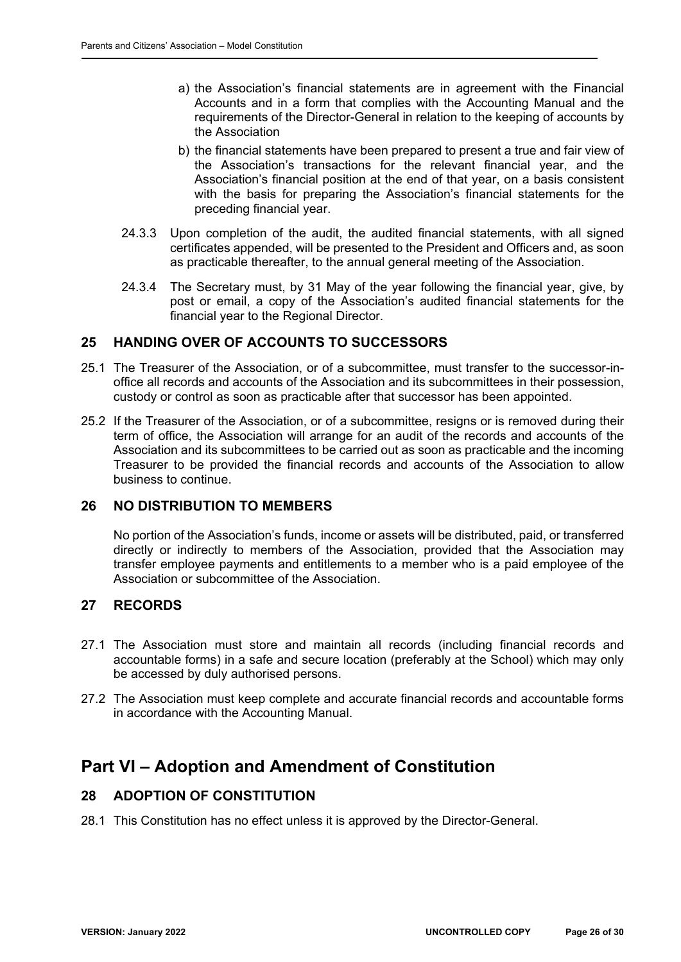- a) the Association's financial statements are in agreement with the Financial Accounts and in a form that complies with the Accounting Manual and the requirements of the Director-General in relation to the keeping of accounts by the Association
- b) the financial statements have been prepared to present a true and fair view of the Association's transactions for the relevant financial year, and the Association's financial position at the end of that year, on a basis consistent with the basis for preparing the Association's financial statements for the preceding financial year.
- 24.3.3 Upon completion of the audit, the audited financial statements, with all signed certificates appended, will be presented to the President and Officers and, as soon as practicable thereafter, to the annual general meeting of the Association.
- 24.3.4 The Secretary must, by 31 May of the year following the financial year, give, by post or email, a copy of the Association's audited financial statements for the financial year to the Regional Director.

## **25 HANDING OVER OF ACCOUNTS TO SUCCESSORS**

- 25.1 The Treasurer of the Association, or of a subcommittee, must transfer to the successor-inoffice all records and accounts of the Association and its subcommittees in their possession, custody or control as soon as practicable after that successor has been appointed.
- 25.2 If the Treasurer of the Association, or of a subcommittee, resigns or is removed during their term of office, the Association will arrange for an audit of the records and accounts of the Association and its subcommittees to be carried out as soon as practicable and the incoming Treasurer to be provided the financial records and accounts of the Association to allow business to continue.

## **26 NO DISTRIBUTION TO MEMBERS**

No portion of the Association's funds, income or assets will be distributed, paid, or transferred directly or indirectly to members of the Association, provided that the Association may transfer employee payments and entitlements to a member who is a paid employee of the Association or subcommittee of the Association.

## **27 RECORDS**

- 27.1 The Association must store and maintain all records (including financial records and accountable forms) in a safe and secure location (preferably at the School) which may only be accessed by duly authorised persons.
- 27.2 The Association must keep complete and accurate financial records and accountable forms in accordance with the Accounting Manual.

# **Part VI – Adoption and Amendment of Constitution**

# **28 ADOPTION OF CONSTITUTION**

28.1 This Constitution has no effect unless it is approved by the Director-General.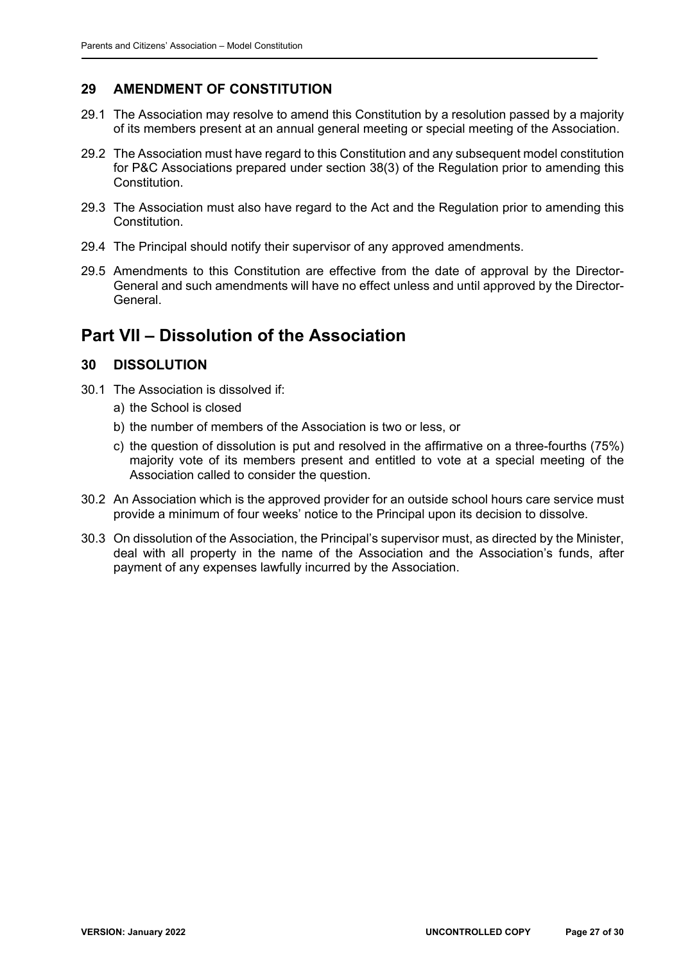## **29 AMENDMENT OF CONSTITUTION**

- 29.1 The Association may resolve to amend this Constitution by a resolution passed by a majority of its members present at an annual general meeting or special meeting of the Association.
- 29.2 The Association must have regard to this Constitution and any subsequent model constitution for P&C Associations prepared under section 38(3) of the Regulation prior to amending this Constitution.
- 29.3 The Association must also have regard to the Act and the Regulation prior to amending this Constitution.
- 29.4 The Principal should notify their supervisor of any approved amendments.
- 29.5 Amendments to this Constitution are effective from the date of approval by the Director-General and such amendments will have no effect unless and until approved by the Director-General.

# **Part VII – Dissolution of the Association**

## **30 DISSOLUTION**

- 30.1 The Association is dissolved if:
	- a) the School is closed
	- b) the number of members of the Association is two or less, or
	- c) the question of dissolution is put and resolved in the affirmative on a three-fourths (75%) majority vote of its members present and entitled to vote at a special meeting of the Association called to consider the question.
- 30.2 An Association which is the approved provider for an outside school hours care service must provide a minimum of four weeks' notice to the Principal upon its decision to dissolve.
- 30.3 On dissolution of the Association, the Principal's supervisor must, as directed by the Minister, deal with all property in the name of the Association and the Association's funds, after payment of any expenses lawfully incurred by the Association.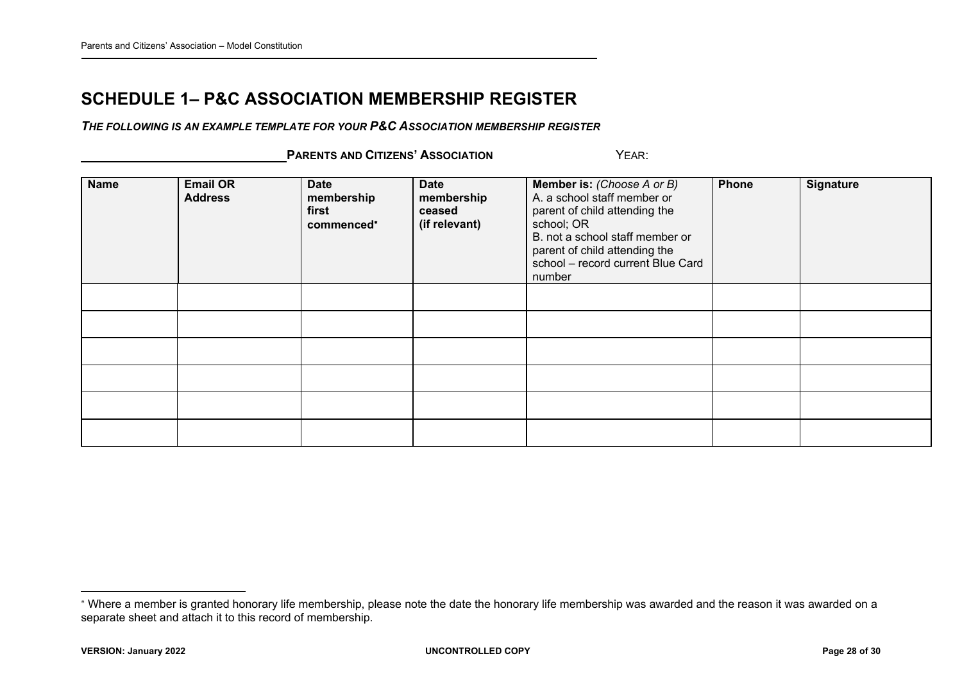# **SCHEDULE 1– P&C ASSOCIATION MEMBERSHIP REGISTER**

*THE FOLLOWING IS AN EXAMPLE TEMPLATE FOR YOUR P&C ASSOCIATION MEMBERSHIP REGISTER*

 **PARENTS AND CITIZENS' ASSOCIATION** YEAR:

| <b>Name</b> | <b>Email OR</b><br><b>Address</b> | <b>Date</b><br>membership<br>first<br>commenced* | <b>Date</b><br>membership<br>ceased<br>(if relevant) | <b>Member is: (Choose A or B)</b><br>A. a school staff member or<br>parent of child attending the<br>school; OR<br>B. not a school staff member or<br>parent of child attending the<br>school - record current Blue Card<br>number | Phone | <b>Signature</b> |
|-------------|-----------------------------------|--------------------------------------------------|------------------------------------------------------|------------------------------------------------------------------------------------------------------------------------------------------------------------------------------------------------------------------------------------|-------|------------------|
|             |                                   |                                                  |                                                      |                                                                                                                                                                                                                                    |       |                  |
|             |                                   |                                                  |                                                      |                                                                                                                                                                                                                                    |       |                  |
|             |                                   |                                                  |                                                      |                                                                                                                                                                                                                                    |       |                  |
|             |                                   |                                                  |                                                      |                                                                                                                                                                                                                                    |       |                  |
|             |                                   |                                                  |                                                      |                                                                                                                                                                                                                                    |       |                  |
|             |                                   |                                                  |                                                      |                                                                                                                                                                                                                                    |       |                  |

Where a member is granted honorary life membership, please note the date the honorary life membership was awarded and the reason it was awarded on a separate sheet and attach it to this record of membership.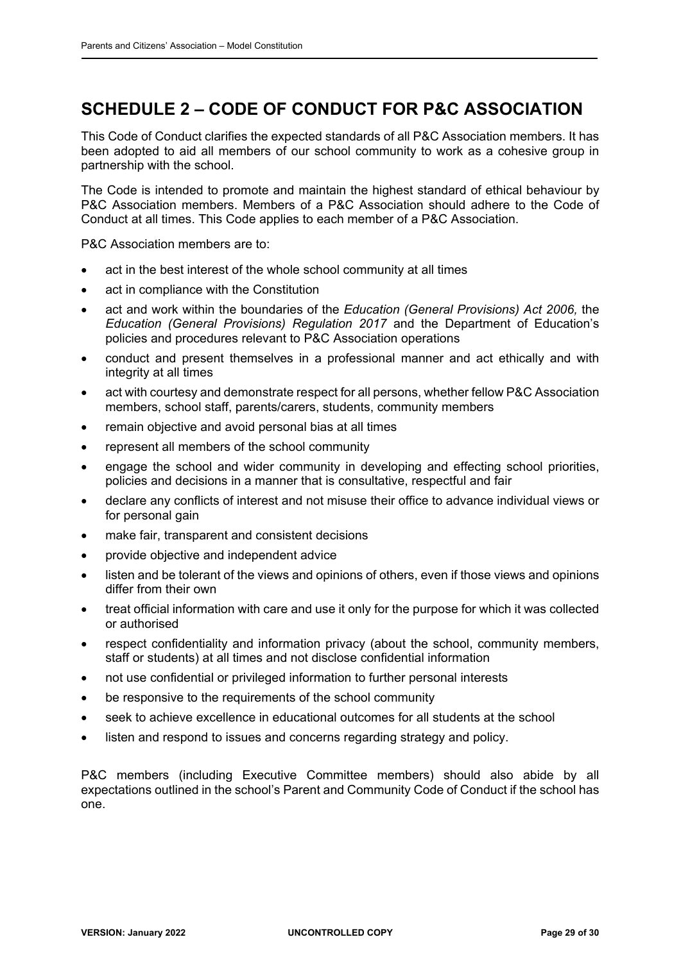# **SCHEDULE 2 – CODE OF CONDUCT FOR P&C ASSOCIATION**

This Code of Conduct clarifies the expected standards of all P&C Association members. It has been adopted to aid all members of our school community to work as a cohesive group in partnership with the school.

The Code is intended to promote and maintain the highest standard of ethical behaviour by P&C Association members. Members of a P&C Association should adhere to the Code of Conduct at all times. This Code applies to each member of a P&C Association.

P&C Association members are to:

- act in the best interest of the whole school community at all times
- act in compliance with the Constitution
- act and work within the boundaries of the *Education (General Provisions) Act 2006,* the *Education (General Provisions) Regulation 2017* and the Department of Education's policies and procedures relevant to P&C Association operations
- conduct and present themselves in a professional manner and act ethically and with integrity at all times
- act with courtesy and demonstrate respect for all persons, whether fellow P&C Association members, school staff, parents/carers, students, community members
- remain objective and avoid personal bias at all times
- represent all members of the school community
- engage the school and wider community in developing and effecting school priorities, policies and decisions in a manner that is consultative, respectful and fair
- declare any conflicts of interest and not misuse their office to advance individual views or for personal gain
- make fair, transparent and consistent decisions
- provide objective and independent advice
- listen and be tolerant of the views and opinions of others, even if those views and opinions differ from their own
- treat official information with care and use it only for the purpose for which it was collected or authorised
- respect confidentiality and information privacy (about the school, community members, staff or students) at all times and not disclose confidential information
- not use confidential or privileged information to further personal interests
- be responsive to the requirements of the school community
- seek to achieve excellence in educational outcomes for all students at the school
- listen and respond to issues and concerns regarding strategy and policy.

P&C members (including Executive Committee members) should also abide by all expectations outlined in the school's Parent and Community Code of Conduct if the school has one.